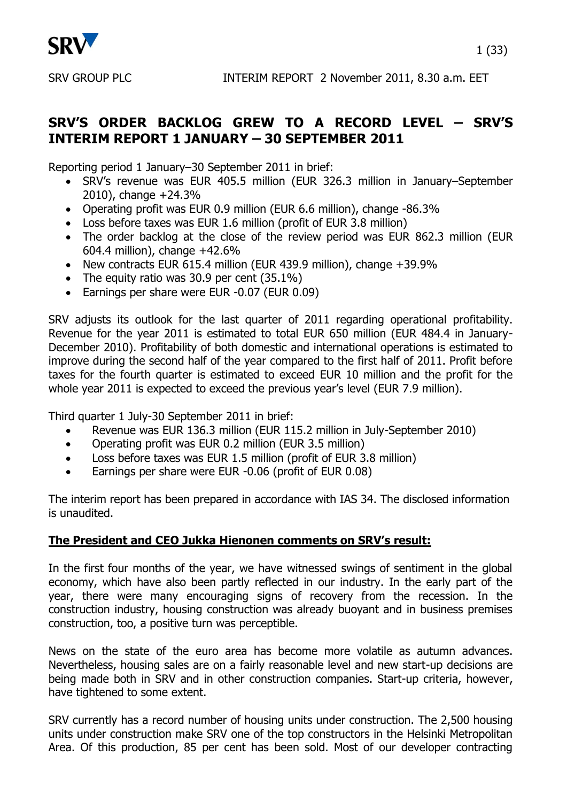

# **SRV'S ORDER BACKLOG GREW TO A RECORD LEVEL – SRV'S INTERIM REPORT 1 JANUARY – 30 SEPTEMBER 2011**

Reporting period 1 January–30 September 2011 in brief:

- SRV's revenue was EUR 405.5 million (EUR 326.3 million in January–September 2010), change +24.3%
- Operating profit was EUR 0.9 million (EUR 6.6 million), change -86.3%
- Loss before taxes was EUR 1.6 million (profit of EUR 3.8 million)
- The order backlog at the close of the review period was EUR 862.3 million (EUR 604.4 million), change +42.6%
- New contracts EUR 615.4 million (EUR 439.9 million), change +39.9%
- The equity ratio was  $30.9$  per cent  $(35.1\%)$
- Earnings per share were EUR -0.07 (EUR 0.09)

SRV adjusts its outlook for the last quarter of 2011 regarding operational profitability. Revenue for the year 2011 is estimated to total EUR 650 million (EUR 484.4 in January-December 2010). Profitability of both domestic and international operations is estimated to improve during the second half of the year compared to the first half of 2011. Profit before taxes for the fourth quarter is estimated to exceed EUR 10 million and the profit for the whole year 2011 is expected to exceed the previous year's level (EUR 7.9 million).

Third quarter 1 July-30 September 2011 in brief:

- Revenue was EUR 136.3 million (EUR 115.2 million in July-September 2010)
- Operating profit was EUR 0.2 million (EUR 3.5 million)
- Loss before taxes was EUR 1.5 million (profit of EUR 3.8 million)
- Earnings per share were EUR -0.06 (profit of EUR 0.08)

The interim report has been prepared in accordance with IAS 34. The disclosed information is unaudited.

# **The President and CEO Jukka Hienonen comments on SRV's result:**

In the first four months of the year, we have witnessed swings of sentiment in the global economy, which have also been partly reflected in our industry. In the early part of the year, there were many encouraging signs of recovery from the recession. In the construction industry, housing construction was already buoyant and in business premises construction, too, a positive turn was perceptible.

News on the state of the euro area has become more volatile as autumn advances. Nevertheless, housing sales are on a fairly reasonable level and new start-up decisions are being made both in SRV and in other construction companies. Start-up criteria, however, have tightened to some extent.

SRV currently has a record number of housing units under construction. The 2,500 housing units under construction make SRV one of the top constructors in the Helsinki Metropolitan Area. Of this production, 85 per cent has been sold. Most of our developer contracting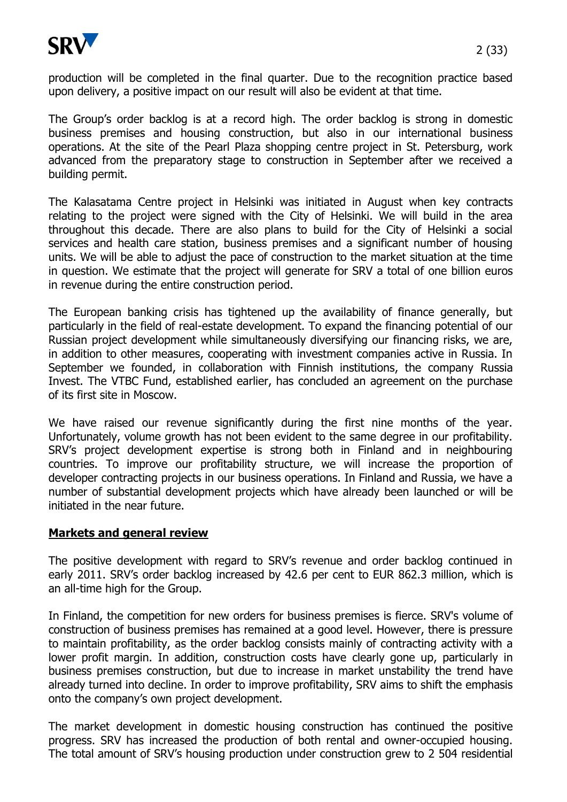

The Group's order backlog is at a record high. The order backlog is strong in domestic business premises and housing construction, but also in our international business operations. At the site of the Pearl Plaza shopping centre project in St. Petersburg, work advanced from the preparatory stage to construction in September after we received a building permit.

The Kalasatama Centre project in Helsinki was initiated in August when key contracts relating to the project were signed with the City of Helsinki. We will build in the area throughout this decade. There are also plans to build for the City of Helsinki a social services and health care station, business premises and a significant number of housing units. We will be able to adjust the pace of construction to the market situation at the time in question. We estimate that the project will generate for SRV a total of one billion euros in revenue during the entire construction period.

The European banking crisis has tightened up the availability of finance generally, but particularly in the field of real-estate development. To expand the financing potential of our Russian project development while simultaneously diversifying our financing risks, we are, in addition to other measures, cooperating with investment companies active in Russia. In September we founded, in collaboration with Finnish institutions, the company Russia Invest. The VTBC Fund, established earlier, has concluded an agreement on the purchase of its first site in Moscow.

We have raised our revenue significantly during the first nine months of the year. Unfortunately, volume growth has not been evident to the same degree in our profitability. SRV's project development expertise is strong both in Finland and in neighbouring countries. To improve our profitability structure, we will increase the proportion of developer contracting projects in our business operations. In Finland and Russia, we have a number of substantial development projects which have already been launched or will be initiated in the near future.

# **Markets and general review**

The positive development with regard to SRV's revenue and order backlog continued in early 2011. SRV's order backlog increased by 42.6 per cent to EUR 862.3 million, which is an all-time high for the Group.

In Finland, the competition for new orders for business premises is fierce. SRV's volume of construction of business premises has remained at a good level. However, there is pressure to maintain profitability, as the order backlog consists mainly of contracting activity with a lower profit margin. In addition, construction costs have clearly gone up, particularly in business premises construction, but due to increase in market unstability the trend have already turned into decline. In order to improve profitability, SRV aims to shift the emphasis onto the company's own project development.

The market development in domestic housing construction has continued the positive progress. SRV has increased the production of both rental and owner-occupied housing. The total amount of SRV's housing production under construction grew to 2 504 residential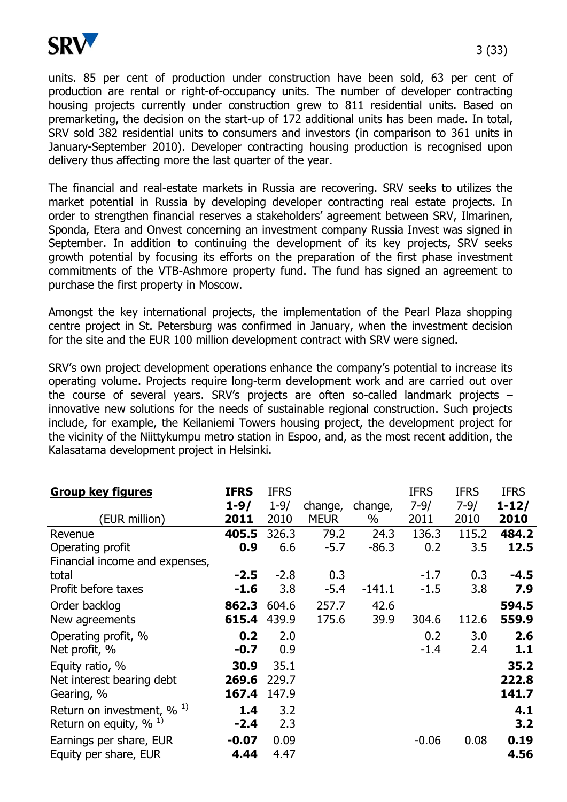

units. 85 per cent of production under construction have been sold, 63 per cent of production are rental or right-of-occupancy units. The number of developer contracting housing projects currently under construction grew to 811 residential units. Based on premarketing, the decision on the start-up of 172 additional units has been made. In total, SRV sold 382 residential units to consumers and investors (in comparison to 361 units in January-September 2010). Developer contracting housing production is recognised upon delivery thus affecting more the last quarter of the year.

The financial and real-estate markets in Russia are recovering. SRV seeks to utilizes the market potential in Russia by developing developer contracting real estate projects. In order to strengthen financial reserves a stakeholders' agreement between SRV, Ilmarinen, Sponda, Etera and Onvest concerning an investment company Russia Invest was signed in September. In addition to continuing the development of its key projects, SRV seeks growth potential by focusing its efforts on the preparation of the first phase investment commitments of the VTB-Ashmore property fund. The fund has signed an agreement to purchase the first property in Moscow.

Amongst the key international projects, the implementation of the Pearl Plaza shopping centre project in St. Petersburg was confirmed in January, when the investment decision for the site and the EUR 100 million development contract with SRV were signed.

SRV's own project development operations enhance the company's potential to increase its operating volume. Projects require long-term development work and are carried out over the course of several years. SRV's projects are often so-called landmark projects – innovative new solutions for the needs of sustainable regional construction. Such projects include, for example, the Keilaniemi Towers housing project, the development project for the vicinity of the Niittykumpu metro station in Espoo, and, as the most recent addition, the Kalasatama development project in Helsinki.

| <b>Group key figures</b>                 | <b>IFRS</b><br>$1 - 9/$ | <b>IFRS</b><br>$1 - 9/$ | change,     | change,  | <b>IFRS</b><br>$7 - 9/$ | <b>IFRS</b><br>$7 - 9/$ | <b>IFRS</b><br>$1 - 12/$ |
|------------------------------------------|-------------------------|-------------------------|-------------|----------|-------------------------|-------------------------|--------------------------|
| (EUR million)                            | 2011                    | 2010                    | <b>MEUR</b> | $\%$     | 2011                    | 2010                    | 2010                     |
| Revenue                                  | 405.5                   | 326.3                   | 79.2        | 24.3     | 136.3                   | 115.2                   | 484.2                    |
| Operating profit                         | 0.9                     | 6.6                     | $-5.7$      | $-86.3$  | 0.2                     | 3.5                     | 12.5                     |
| Financial income and expenses,           |                         |                         |             |          |                         |                         |                          |
| total                                    | $-2.5$                  | $-2.8$                  | 0.3         |          | $-1.7$                  | 0.3                     | -4.5                     |
| Profit before taxes                      | $-1.6$                  | 3.8                     | $-5.4$      | $-141.1$ | $-1.5$                  | 3.8                     | 7.9                      |
| Order backlog                            | 862.3                   | 604.6                   | 257.7       | 42.6     |                         |                         | 594.5                    |
| New agreements                           | 615.4                   | 439.9                   | 175.6       | 39.9     | 304.6                   | 112.6                   | 559.9                    |
| Operating profit, %                      | 0.2                     | 2.0                     |             |          | 0.2                     | 3.0                     | 2.6                      |
| Net profit, %                            | $-0.7$                  | 0.9                     |             |          | $-1.4$                  | 2.4                     | 1.1                      |
| Equity ratio, %                          | 30.9                    | 35.1                    |             |          |                         |                         | 35.2                     |
| Net interest bearing debt                | 269.6                   | 229.7                   |             |          |                         |                         | 222.8                    |
| Gearing, %                               | 167.4                   | 147.9                   |             |          |                         |                         | 141.7                    |
| Return on investment, $\%$ <sup>1)</sup> | 1.4                     | 3.2                     |             |          |                         |                         | 4.1                      |
| Return on equity, %                      | $-2.4$                  | 2.3                     |             |          |                         |                         | 3.2                      |
| Earnings per share, EUR                  | $-0.07$                 | 0.09                    |             |          | $-0.06$                 | 0.08                    | 0.19                     |
| Equity per share, EUR                    | 4.44                    | 4.47                    |             |          |                         |                         | 4.56                     |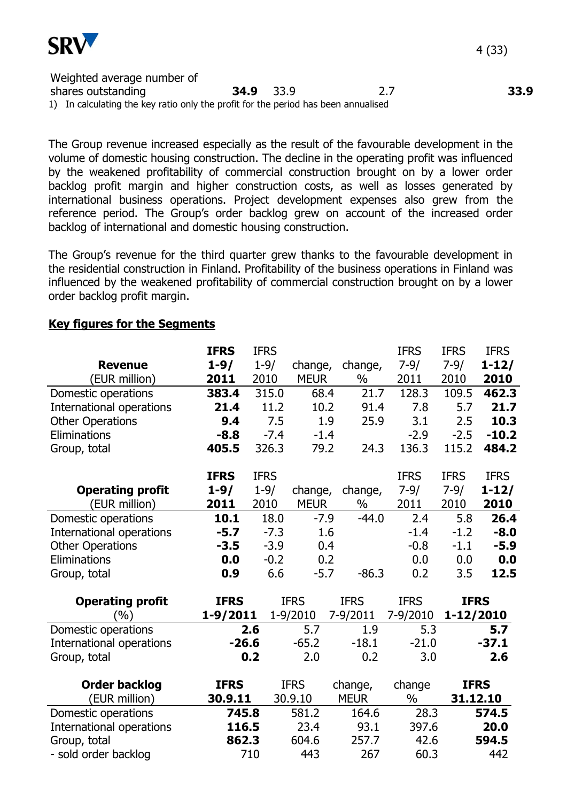

Weighted average number of shares outstanding **34.9** 33.9 2.7 **33.9** 1) In calculating the key ratio only the profit for the period has been annualised

The Group revenue increased especially as the result of the favourable development in the volume of domestic housing construction. The decline in the operating profit was influenced by the weakened profitability of commercial construction brought on by a lower order backlog profit margin and higher construction costs, as well as losses generated by international business operations. Project development expenses also grew from the reference period. The Group's order backlog grew on account of the increased order backlog of international and domestic housing construction.

The Group's revenue for the third quarter grew thanks to the favourable development in the residential construction in Finland. Profitability of the business operations in Finland was influenced by the weakened profitability of commercial construction brought on by a lower order backlog profit margin.

## **Key figures for the Segments**

|                          | <b>IFRS</b>  | <b>IFRS</b> |             |               | <b>IFRS</b> | <b>IFRS</b> | <b>IFRS</b> |
|--------------------------|--------------|-------------|-------------|---------------|-------------|-------------|-------------|
| <b>Revenue</b>           | $1 - 9/$     | $1 - 9/$    | change,     | change,       | $7 - 9/$    | $7 - 9/$    | $1 - 12/$   |
| (EUR million)            | 2011         | 2010        | <b>MEUR</b> | $\frac{0}{0}$ | 2011        | 2010        | 2010        |
| Domestic operations      | 383.4        | 315.0       | 68.4        | 21.7          | 128.3       | 109.5       | 462.3       |
| International operations | 21.4         | 11.2        | 10.2        | 91.4          | 7.8         | 5.7         | 21.7        |
| <b>Other Operations</b>  | 9.4          | 7.5         | 1.9         | 25.9          | 3.1         | 2.5         | 10.3        |
| Eliminations             | $-8.8$       | $-7.4$      | $-1.4$      |               | $-2.9$      | $-2.5$      | $-10.2$     |
| Group, total             | 405.5        | 326.3       | 79.2        | 24.3          | 136.3       | 115.2       | 484.2       |
|                          | <b>IFRS</b>  | <b>IFRS</b> |             |               | <b>IFRS</b> | <b>IFRS</b> | <b>IFRS</b> |
| <b>Operating profit</b>  | $1 - 9/$     | $1 - 9/$    | change,     | change,       | $7 - 9/$    | $7 - 9/$    | $1 - 12/$   |
| (EUR million)            | 2011         | 2010        | <b>MEUR</b> | $\%$          | 2011        | 2010        | 2010        |
| Domestic operations      | 10.1         | 18.0        | $-7.9$      | $-44.0$       | 2.4         | 5.8         | 26.4        |
| International operations | $-5.7$       | $-7.3$      | 1.6         |               | $-1.4$      | $-1.2$      | $-8.0$      |
| <b>Other Operations</b>  | $-3.5$       | $-3.9$      | 0.4         |               | $-0.8$      | $-1.1$      | $-5.9$      |
| Eliminations             | 0.0          | $-0.2$      | 0.2         |               | 0.0         | 0.0         | 0.0         |
| Group, total             | 0.9          | 6.6         | $-5.7$      | $-86.3$       | 0.2         | 3.5         | 12.5        |
| <b>Operating profit</b>  | <b>IFRS</b>  |             | <b>IFRS</b> | <b>IFRS</b>   | <b>IFRS</b> | <b>IFRS</b> |             |
| (%)                      | $1 - 9/2011$ |             | 1-9/2010    | 7-9/2011      | 7-9/2010    | 1-12/2010   |             |
| Domestic operations      |              | 2.6         | 5.7         | 1.9           | 5.3         |             | 5.7         |
| International operations | $-26.6$      |             | $-65.2$     | $-18.1$       | $-21.0$     |             | $-37.1$     |
| Group, total             |              | 0.2         | 2.0         | 0.2           | 3.0         |             | 2.6         |
| <b>Order backlog</b>     | <b>IFRS</b>  |             | <b>IFRS</b> | change,       | change      |             | <b>IFRS</b> |
| (EUR million)            | 30.9.11      |             | 30.9.10     | <b>MEUR</b>   | $\%$        |             | 31.12.10    |
| Domestic operations      | 745.8        |             | 581.2       | 164.6         | 28.3        |             | 574.5       |
| International operations | 116.5        |             | 23.4        | 93.1          | 397.6       |             | 20.0        |
| Group, total             | 862.3        |             | 604.6       | 257.7         | 42.6        |             | 594.5       |
| - sold order backlog     |              | 710         | 443         | 267           | 60.3        |             | 442         |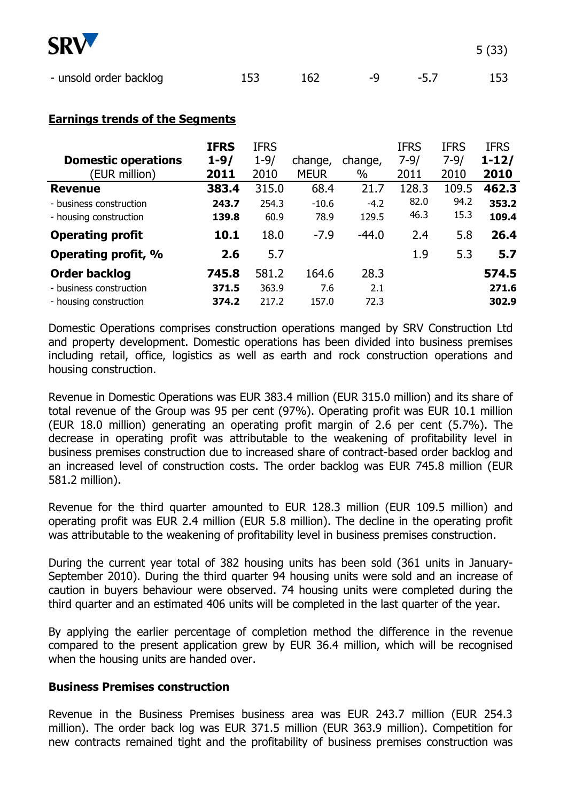

| - unsold order backlog | 162 | $-Q$ | $-5.7$ | 153 |
|------------------------|-----|------|--------|-----|

5 (33)

# **Earnings trends of the Segments**

|                            | <b>IFRS</b> | <b>IFRS</b> |             |         | <b>IFRS</b> | <b>IFRS</b> | <b>IFRS</b> |
|----------------------------|-------------|-------------|-------------|---------|-------------|-------------|-------------|
| <b>Domestic operations</b> | $1 - 9/$    | $1 - 9/$    | change,     | change, | $7 - 9/$    | $7 - 9/$    | $1 - 12/$   |
| (EUR million)              | 2011        | 2010        | <b>MEUR</b> | $\%$    | 2011        | 2010        | 2010        |
| <b>Revenue</b>             | 383.4       | 315.0       | 68.4        | 21.7    | 128.3       | 109.5       | 462.3       |
| - business construction    | 243.7       | 254.3       | $-10.6$     | $-4.2$  | 82.0        | 94.2        | 353.2       |
| - housing construction     | 139.8       | 60.9        | 78.9        | 129.5   | 46.3        | 15.3        | 109.4       |
| <b>Operating profit</b>    | 10.1        | 18.0        | $-7.9$      | $-44.0$ | 2.4         | 5.8         | 26.4        |
| Operating profit, %        | 2.6         | 5.7         |             |         | 1.9         | 5.3         | 5.7         |
| <b>Order backlog</b>       | 745.8       | 581.2       | 164.6       | 28.3    |             |             | 574.5       |
| - business construction    | 371.5       | 363.9       | 7.6         | 2.1     |             |             | 271.6       |
| - housing construction     | 374.2       | 217.2       | 157.0       | 72.3    |             |             | 302.9       |

Domestic Operations comprises construction operations manged by SRV Construction Ltd and property development. Domestic operations has been divided into business premises including retail, office, logistics as well as earth and rock construction operations and housing construction.

Revenue in Domestic Operations was EUR 383.4 million (EUR 315.0 million) and its share of total revenue of the Group was 95 per cent (97%). Operating profit was EUR 10.1 million (EUR 18.0 million) generating an operating profit margin of 2.6 per cent (5.7%). The decrease in operating profit was attributable to the weakening of profitability level in business premises construction due to increased share of contract-based order backlog and an increased level of construction costs. The order backlog was EUR 745.8 million (EUR 581.2 million).

Revenue for the third quarter amounted to EUR 128.3 million (EUR 109.5 million) and operating profit was EUR 2.4 million (EUR 5.8 million). The decline in the operating profit was attributable to the weakening of profitability level in business premises construction.

During the current year total of 382 housing units has been sold (361 units in January-September 2010). During the third quarter 94 housing units were sold and an increase of caution in buyers behaviour were observed. 74 housing units were completed during the third quarter and an estimated 406 units will be completed in the last quarter of the year.

By applying the earlier percentage of completion method the difference in the revenue compared to the present application grew by EUR 36.4 million, which will be recognised when the housing units are handed over.

# **Business Premises construction**

Revenue in the Business Premises business area was EUR 243.7 million (EUR 254.3 million). The order back log was EUR 371.5 million (EUR 363.9 million). Competition for new contracts remained tight and the profitability of business premises construction was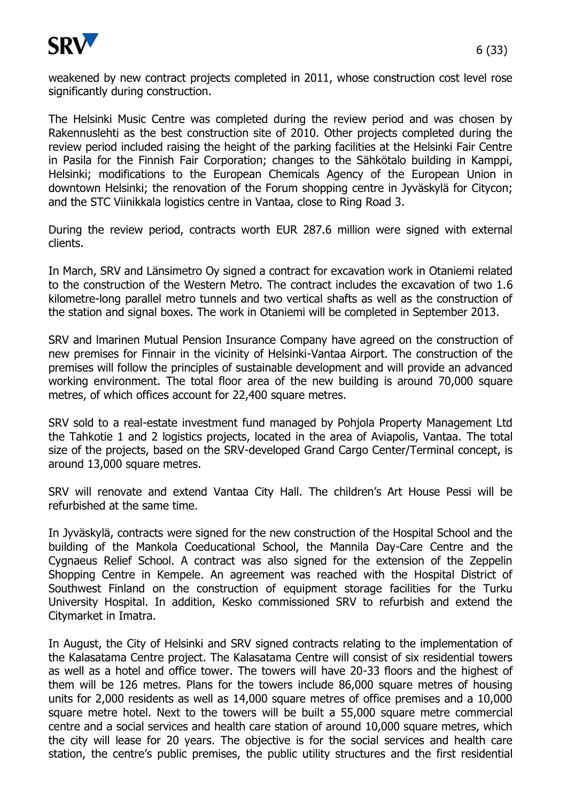

weakened by new contract projects completed in 2011, whose construction cost level rose significantly during construction.

The Helsinki Music Centre was completed during the review period and was chosen by Rakennuslehti as the best construction site of 2010. Other projects completed during the review period included raising the height of the parking facilities at the Helsinki Fair Centre in Pasila for the Finnish Fair Corporation; changes to the Sähkötalo building in Kamppi, Helsinki; modifications to the European Chemicals Agency of the European Union in downtown Helsinki; the renovation of the Forum shopping centre in Jyväskylä for Citycon; and the STC Viinikkala logistics centre in Vantaa, close to Ring Road 3.

During the review period, contracts worth EUR 287.6 million were signed with external clients.

In March, SRV and Länsimetro Oy signed a contract for excavation work in Otaniemi related to the construction of the Western Metro. The contract includes the excavation of two 1.6 kilometre-long parallel metro tunnels and two vertical shafts as well as the construction of the station and signal boxes. The work in Otaniemi will be completed in September 2013.

SRV and lmarinen Mutual Pension Insurance Company have agreed on the construction of new premises for Finnair in the vicinity of Helsinki-Vantaa Airport. The construction of the premises will follow the principles of sustainable development and will provide an advanced working environment. The total floor area of the new building is around 70,000 square metres, of which offices account for 22,400 square metres.

SRV sold to a real-estate investment fund managed by Pohjola Property Management Ltd the Tahkotie 1 and 2 logistics projects, located in the area of Aviapolis, Vantaa. The total size of the projects, based on the SRV-developed Grand Cargo Center/Terminal concept, is around 13,000 square metres.

SRV will renovate and extend Vantaa City Hall. The children's Art House Pessi will be refurbished at the same time.

In Jyväskylä, contracts were signed for the new construction of the Hospital School and the building of the Mankola Coeducational School, the Mannila Day-Care Centre and the Cygnaeus Relief School. A contract was also signed for the extension of the Zeppelin Shopping Centre in Kempele. An agreement was reached with the Hospital District of Southwest Finland on the construction of equipment storage facilities for the Turku University Hospital. In addition, Kesko commissioned SRV to refurbish and extend the Citymarket in Imatra.

In August, the City of Helsinki and SRV signed contracts relating to the implementation of the Kalasatama Centre project. The Kalasatama Centre will consist of six residential towers as well as a hotel and office tower. The towers will have 20-33 floors and the highest of them will be 126 metres. Plans for the towers include 86,000 square metres of housing units for 2,000 residents as well as 14,000 square metres of office premises and a 10,000 square metre hotel. Next to the towers will be built a 55,000 square metre commercial centre and a social services and health care station of around 10,000 square metres, which the city will lease for 20 years. The objective is for the social services and health care station, the centre's public premises, the public utility structures and the first residential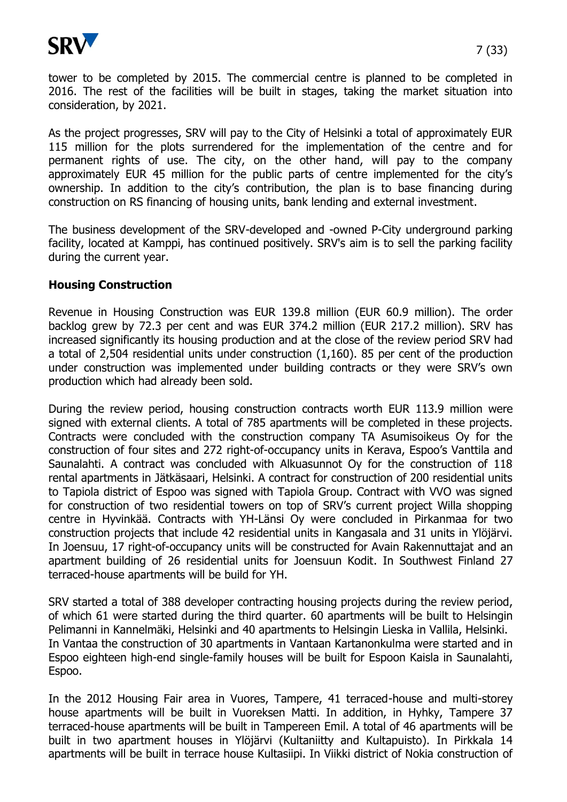

tower to be completed by 2015. The commercial centre is planned to be completed in 2016. The rest of the facilities will be built in stages, taking the market situation into consideration, by 2021.

As the project progresses, SRV will pay to the City of Helsinki a total of approximately EUR 115 million for the plots surrendered for the implementation of the centre and for permanent rights of use. The city, on the other hand, will pay to the company approximately EUR 45 million for the public parts of centre implemented for the city's ownership. In addition to the city's contribution, the plan is to base financing during construction on RS financing of housing units, bank lending and external investment.

The business development of the SRV-developed and -owned P-City underground parking facility, located at Kamppi, has continued positively. SRV's aim is to sell the parking facility during the current year.

## **Housing Construction**

Revenue in Housing Construction was EUR 139.8 million (EUR 60.9 million). The order backlog grew by 72.3 per cent and was EUR 374.2 million (EUR 217.2 million). SRV has increased significantly its housing production and at the close of the review period SRV had a total of 2,504 residential units under construction (1,160). 85 per cent of the production under construction was implemented under building contracts or they were SRV's own production which had already been sold.

During the review period, housing construction contracts worth EUR 113.9 million were signed with external clients. A total of 785 apartments will be completed in these projects. Contracts were concluded with the construction company TA Asumisoikeus Oy for the construction of four sites and 272 right-of-occupancy units in Kerava, Espoo's Vanttila and Saunalahti. A contract was concluded with Alkuasunnot Oy for the construction of 118 rental apartments in Jätkäsaari, Helsinki. A contract for construction of 200 residential units to Tapiola district of Espoo was signed with Tapiola Group. Contract with VVO was signed for construction of two residential towers on top of SRV's current project Willa shopping centre in Hyvinkää. Contracts with YH-Länsi Oy were concluded in Pirkanmaa for two construction projects that include 42 residential units in Kangasala and 31 units in Ylöjärvi. In Joensuu, 17 right-of-occupancy units will be constructed for Avain Rakennuttajat and an apartment building of 26 residential units for Joensuun Kodit. In Southwest Finland 27 terraced-house apartments will be build for YH.

SRV started a total of 388 developer contracting housing projects during the review period, of which 61 were started during the third quarter. 60 apartments will be built to Helsingin Pelimanni in Kannelmäki, Helsinki and 40 apartments to Helsingin Lieska in Vallila, Helsinki. In Vantaa the construction of 30 apartments in Vantaan Kartanonkulma were started and in Espoo eighteen high-end single-family houses will be built for Espoon Kaisla in Saunalahti, Espoo.

In the 2012 Housing Fair area in Vuores, Tampere, 41 terraced-house and multi-storey house apartments will be built in Vuoreksen Matti. In addition, in Hyhky, Tampere 37 terraced-house apartments will be built in Tampereen Emil. A total of 46 apartments will be built in two apartment houses in Ylöjärvi (Kultaniitty and Kultapuisto). In Pirkkala 14 apartments will be built in terrace house Kultasiipi. In Viikki district of Nokia construction of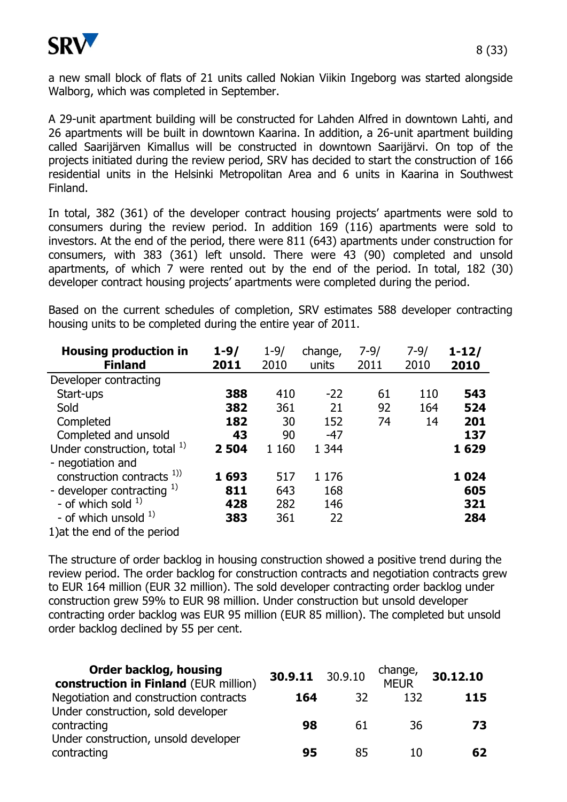

a new small block of flats of 21 units called Nokian Viikin Ingeborg was started alongside Walborg, which was completed in September.

A 29-unit apartment building will be constructed for Lahden Alfred in downtown Lahti, and 26 apartments will be built in downtown Kaarina. In addition, a 26-unit apartment building called Saarijärven Kimallus will be constructed in downtown Saarijärvi. On top of the projects initiated during the review period, SRV has decided to start the construction of 166 residential units in the Helsinki Metropolitan Area and 6 units in Kaarina in Southwest Finland.

In total, 382 (361) of the developer contract housing projects' apartments were sold to consumers during the review period. In addition 169 (116) apartments were sold to investors. At the end of the period, there were 811 (643) apartments under construction for consumers, with 383 (361) left unsold. There were 43 (90) completed and unsold apartments, of which 7 were rented out by the end of the period. In total, 182 (30) developer contract housing projects' apartments were completed during the period.

Based on the current schedules of completion, SRV estimates 588 developer contracting housing units to be completed during the entire year of 2011.

| <b>Housing production in</b><br><b>Finland</b> | $1 - 9/$<br>2011 | $1 - 9/$<br>2010 | change,<br>units | $7 - 9/$<br>2011 | $7 - 9/$<br>2010 | $1 - 12/$<br>2010 |
|------------------------------------------------|------------------|------------------|------------------|------------------|------------------|-------------------|
| Developer contracting                          |                  |                  |                  |                  |                  |                   |
| Start-ups                                      | 388              | 410              | $-22$            | 61               | 110              | 543               |
| Sold                                           | 382              | 361              | 21               | 92               | 164              | 524               |
| Completed                                      | 182              | 30               | 152              | 74               | 14               | 201               |
| Completed and unsold                           | 43               | 90               | $-47$            |                  |                  | 137               |
| Under construction, total <sup>1)</sup>        | 2 5 0 4          | 1 1 6 0          | 1 3 4 4          |                  |                  | 1629              |
| - negotiation and                              |                  |                  |                  |                  |                  |                   |
| construction contracts $^{1)}$                 | 1693             | 517              | 1 1 7 6          |                  |                  | 1024              |
| - developer contracting $^{1)}$                | 811              | 643              | 168              |                  |                  | 605               |
| - of which sold $1$ )                          | 428              | 282              | 146              |                  |                  | 321               |
| - of which unsold $1$ )                        | 383              | 361              | 22               |                  |                  | 284               |
| 1) at the end of the period                    |                  |                  |                  |                  |                  |                   |

The structure of order backlog in housing construction showed a positive trend during the review period. The order backlog for construction contracts and negotiation contracts grew to EUR 164 million (EUR 32 million). The sold developer contracting order backlog under construction grew 59% to EUR 98 million. Under construction but unsold developer contracting order backlog was EUR 95 million (EUR 85 million). The completed but unsold order backlog declined by 55 per cent.

| <b>Order backlog, housing</b><br>construction in Finland (EUR million) | 30.9.11 30.9.10 |    | change,<br><b>MEUR</b> | 30.12.10 |
|------------------------------------------------------------------------|-----------------|----|------------------------|----------|
| Negotiation and construction contracts                                 | 164             | 32 | 132                    | 115      |
| Under construction, sold developer<br>contracting                      | 98              | 61 | 36                     | 73       |
| Under construction, unsold developer<br>contracting                    | 95              | 85 | 10                     | 62       |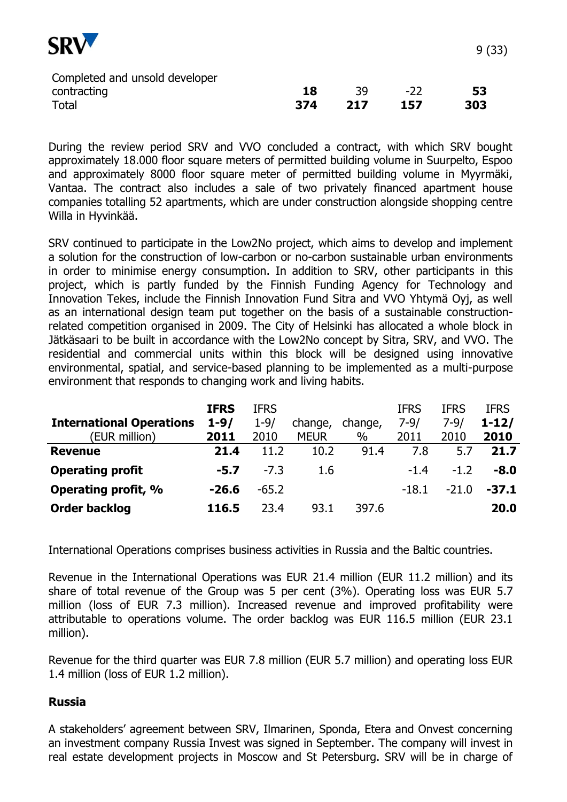

| Completed and unsold developer |     |      |     |     |
|--------------------------------|-----|------|-----|-----|
| contracting                    | 18  | -39. | -22 | -53 |
| Total                          | 374 | 217  | 157 | 303 |

During the review period SRV and VVO concluded a contract, with which SRV bought approximately 18.000 floor square meters of permitted building volume in Suurpelto, Espoo and approximately 8000 floor square meter of permitted building volume in Myyrmäki, Vantaa. The contract also includes a sale of two privately financed apartment house companies totalling 52 apartments, which are under construction alongside shopping centre Willa in Hyvinkää.

SRV continued to participate in the Low2No project, which aims to develop and implement a solution for the construction of low-carbon or no-carbon sustainable urban environments in order to minimise energy consumption. In addition to SRV, other participants in this project, which is partly funded by the Finnish Funding Agency for Technology and Innovation Tekes, include the Finnish Innovation Fund Sitra and VVO Yhtymä Oyj, as well as an international design team put together on the basis of a sustainable constructionrelated competition organised in 2009. The City of Helsinki has allocated a whole block in Jätkäsaari to be built in accordance with the Low2No concept by Sitra, SRV, and VVO. The residential and commercial units within this block will be designed using innovative environmental, spatial, and service-based planning to be implemented as a multi-purpose environment that responds to changing work and living habits.

|                                 | <b>IFRS</b> | <b>IFRS</b> |             |         | <b>IFRS</b> | <b>IFRS</b> | <b>IFRS</b> |
|---------------------------------|-------------|-------------|-------------|---------|-------------|-------------|-------------|
| <b>International Operations</b> | $1 - 9/$    | $1 - 9/$    | change,     | change, | $7 - 9/$    | $7 - 9/$    | $1 - 12/$   |
| (EUR million)                   | 2011        | 2010        | <b>MEUR</b> | $\%$    | 2011        | 2010        | 2010        |
| <b>Revenue</b>                  | 21.4        | 11.2        | 10.2        | 91.4    | 7.8         | 5.7         | 21.7        |
| <b>Operating profit</b>         | $-5.7$      | $-7.3$      | 1.6         |         | $-1.4$      | $-1.2$      | $-8.0$      |
| Operating profit, %             | $-26.6$     | $-65.2$     |             |         | $-18.1$     | $-21.0$     | $-37.1$     |
| <b>Order backlog</b>            | 116.5       | 23.4        | 93.1        | 397.6   |             |             | 20.0        |

International Operations comprises business activities in Russia and the Baltic countries.

Revenue in the International Operations was EUR 21.4 million (EUR 11.2 million) and its share of total revenue of the Group was 5 per cent (3%). Operating loss was EUR 5.7 million (loss of EUR 7.3 million). Increased revenue and improved profitability were attributable to operations volume. The order backlog was EUR 116.5 million (EUR 23.1 million).

Revenue for the third quarter was EUR 7.8 million (EUR 5.7 million) and operating loss EUR 1.4 million (loss of EUR 1.2 million).

# **Russia**

A stakeholders' agreement between SRV, Ilmarinen, Sponda, Etera and Onvest concerning an investment company Russia Invest was signed in September. The company will invest in real estate development projects in Moscow and St Petersburg. SRV will be in charge of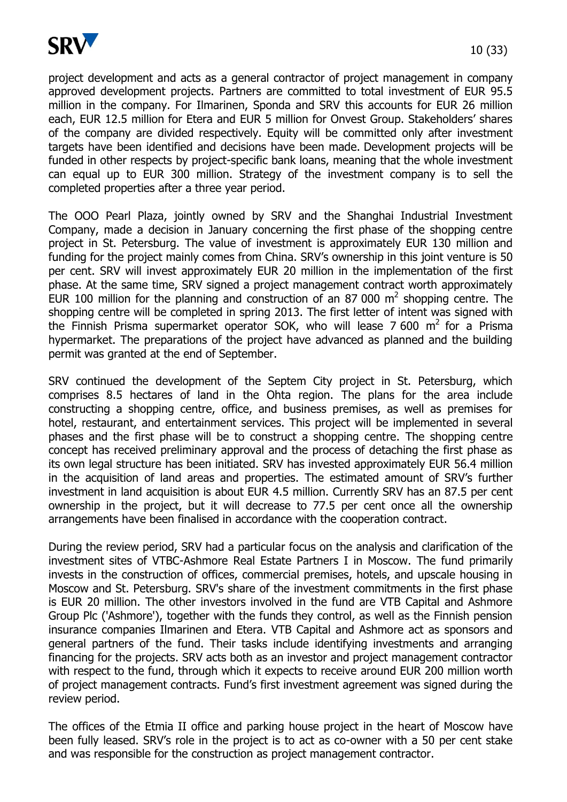

project development and acts as a general contractor of project management in company approved development projects. Partners are committed to total investment of EUR 95.5 million in the company. For Ilmarinen, Sponda and SRV this accounts for EUR 26 million each, EUR 12.5 million for Etera and EUR 5 million for Onvest Group. Stakeholders' shares of the company are divided respectively. Equity will be committed only after investment targets have been identified and decisions have been made. Development projects will be funded in other respects by project-specific bank loans, meaning that the whole investment can equal up to EUR 300 million. Strategy of the investment company is to sell the completed properties after a three year period.

The OOO Pearl Plaza, jointly owned by SRV and the Shanghai Industrial Investment Company, made a decision in January concerning the first phase of the shopping centre project in St. Petersburg. The value of investment is approximately EUR 130 million and funding for the project mainly comes from China. SRV's ownership in this joint venture is 50 per cent. SRV will invest approximately EUR 20 million in the implementation of the first phase. At the same time, SRV signed a project management contract worth approximately EUR 100 million for the planning and construction of an 87 000  $m^2$  shopping centre. The shopping centre will be completed in spring 2013. The first letter of intent was signed with the Finnish Prisma supermarket operator SOK, who will lease 7 600  $m^2$  for a Prisma hypermarket. The preparations of the project have advanced as planned and the building permit was granted at the end of September.

SRV continued the development of the Septem City project in St. Petersburg, which comprises 8.5 hectares of land in the Ohta region. The plans for the area include constructing a shopping centre, office, and business premises, as well as premises for hotel, restaurant, and entertainment services. This project will be implemented in several phases and the first phase will be to construct a shopping centre. The shopping centre concept has received preliminary approval and the process of detaching the first phase as its own legal structure has been initiated. SRV has invested approximately EUR 56.4 million in the acquisition of land areas and properties. The estimated amount of SRV's further investment in land acquisition is about EUR 4.5 million. Currently SRV has an 87.5 per cent ownership in the project, but it will decrease to 77.5 per cent once all the ownership arrangements have been finalised in accordance with the cooperation contract.

During the review period, SRV had a particular focus on the analysis and clarification of the investment sites of VTBC-Ashmore Real Estate Partners I in Moscow. The fund primarily invests in the construction of offices, commercial premises, hotels, and upscale housing in Moscow and St. Petersburg. SRV's share of the investment commitments in the first phase is EUR 20 million. The other investors involved in the fund are VTB Capital and Ashmore Group Plc ('Ashmore'), together with the funds they control, as well as the Finnish pension insurance companies Ilmarinen and Etera. VTB Capital and Ashmore act as sponsors and general partners of the fund. Their tasks include identifying investments and arranging financing for the projects. SRV acts both as an investor and project management contractor with respect to the fund, through which it expects to receive around EUR 200 million worth of project management contracts. Fund's first investment agreement was signed during the review period.

The offices of the Etmia II office and parking house project in the heart of Moscow have been fully leased. SRV's role in the project is to act as co-owner with a 50 per cent stake and was responsible for the construction as project management contractor.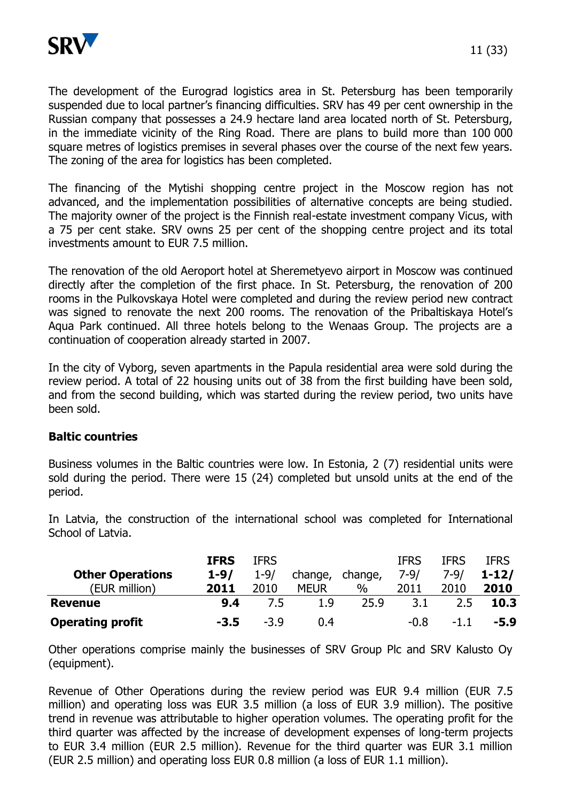

The development of the Eurograd logistics area in St. Petersburg has been temporarily suspended due to local partner's financing difficulties. SRV has 49 per cent ownership in the Russian company that possesses a 24.9 hectare land area located north of St. Petersburg, in the immediate vicinity of the Ring Road. There are plans to build more than 100 000 square metres of logistics premises in several phases over the course of the next few years. The zoning of the area for logistics has been completed.

The financing of the Mytishi shopping centre project in the Moscow region has not advanced, and the implementation possibilities of alternative concepts are being studied. The majority owner of the project is the Finnish real-estate investment company Vicus, with a 75 per cent stake. SRV owns 25 per cent of the shopping centre project and its total investments amount to EUR 7.5 million.

The renovation of the old Aeroport hotel at Sheremetyevo airport in Moscow was continued directly after the completion of the first phace. In St. Petersburg, the renovation of 200 rooms in the Pulkovskaya Hotel were completed and during the review period new contract was signed to renovate the next 200 rooms. The renovation of the Pribaltiskaya Hotel's Aqua Park continued. All three hotels belong to the Wenaas Group. The projects are a continuation of cooperation already started in 2007.

In the city of Vyborg, seven apartments in the Papula residential area were sold during the review period. A total of 22 housing units out of 38 from the first building have been sold, and from the second building, which was started during the review period, two units have been sold.

# **Baltic countries**

Business volumes in the Baltic countries were low. In Estonia, 2 (7) residential units were sold during the period. There were 15 (24) completed but unsold units at the end of the period.

**IFRS** IFRS IFRS IFRS IFRS

| School of Latvia. |  |
|-------------------|--|

|                         | <b>IFRS</b> | IFRS     |             |         | IFRS     | IFRS   | IFRS        |
|-------------------------|-------------|----------|-------------|---------|----------|--------|-------------|
| <b>Other Operations</b> | $1 - 9/$    | $1 - 9/$ | change,     | change, | $7 - 9/$ | 7-9/   | $1 - 12/$   |
| (EUR million)           | 2011        | 2010     | <b>MEUR</b> | $\%$    | 2011     | 2010   | 2010        |
| <b>Revenue</b>          | 9.4         | 7.5      | 1.9         | 25.9    | 3.1      | 2.5    | <b>10.3</b> |
| <b>Operating profit</b> | $-3.5$      | $-3.9$   | 0.4         |         | $-0.8$   | $-1.1$ | $-5.9$      |

Other operations comprise mainly the businesses of SRV Group Plc and SRV Kalusto Oy (equipment).

Revenue of Other Operations during the review period was EUR 9.4 million (EUR 7.5 million) and operating loss was EUR 3.5 million (a loss of EUR 3.9 million). The positive trend in revenue was attributable to higher operation volumes. The operating profit for the third quarter was affected by the increase of development expenses of long-term projects to EUR 3.4 million (EUR 2.5 million). Revenue for the third quarter was EUR 3.1 million (EUR 2.5 million) and operating loss EUR 0.8 million (a loss of EUR 1.1 million).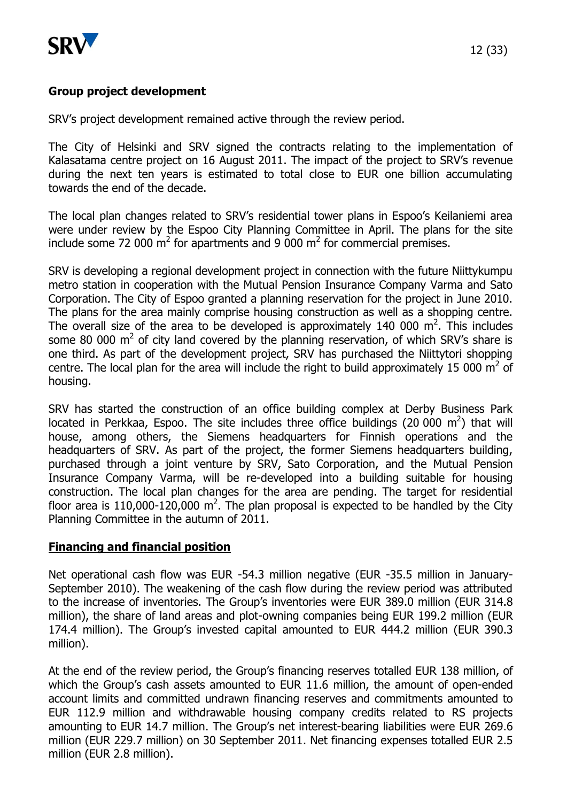

# **Group project development**

SRV's project development remained active through the review period.

The City of Helsinki and SRV signed the contracts relating to the implementation of Kalasatama centre project on 16 August 2011. The impact of the project to SRV's revenue during the next ten years is estimated to total close to EUR one billion accumulating towards the end of the decade.

The local plan changes related to SRV's residential tower plans in Espoo's Keilaniemi area were under review by the Espoo City Planning Committee in April. The plans for the site include some 72 000  $m^2$  for apartments and 9 000  $m^2$  for commercial premises.

SRV is developing a regional development project in connection with the future Niittykumpu metro station in cooperation with the Mutual Pension Insurance Company Varma and Sato Corporation. The City of Espoo granted a planning reservation for the project in June 2010. The plans for the area mainly comprise housing construction as well as a shopping centre. The overall size of the area to be developed is approximately 140 000  $m^2$ . This includes some 80 000  $m^2$  of city land covered by the planning reservation, of which SRV's share is one third. As part of the development project, SRV has purchased the Niittytori shopping centre. The local plan for the area will include the right to build approximately 15 000  $m^2$  of housing.

SRV has started the construction of an office building complex at Derby Business Park located in Perkkaa, Espoo. The site includes three office buildings (20 000  $m^2$ ) that will house, among others, the Siemens headquarters for Finnish operations and the headquarters of SRV. As part of the project, the former Siemens headquarters building, purchased through a joint venture by SRV, Sato Corporation, and the Mutual Pension Insurance Company Varma, will be re-developed into a building suitable for housing construction. The local plan changes for the area are pending. The target for residential floor area is 110,000-120,000  $m^2$ . The plan proposal is expected to be handled by the City Planning Committee in the autumn of 2011.

# **Financing and financial position**

Net operational cash flow was EUR -54.3 million negative (EUR -35.5 million in January-September 2010). The weakening of the cash flow during the review period was attributed to the increase of inventories. The Group's inventories were EUR 389.0 million (EUR 314.8 million), the share of land areas and plot-owning companies being EUR 199.2 million (EUR 174.4 million). The Group's invested capital amounted to EUR 444.2 million (EUR 390.3 million).

At the end of the review period, the Group's financing reserves totalled EUR 138 million, of which the Group's cash assets amounted to EUR 11.6 million, the amount of open-ended account limits and committed undrawn financing reserves and commitments amounted to EUR 112.9 million and withdrawable housing company credits related to RS projects amounting to EUR 14.7 million. The Group's net interest-bearing liabilities were EUR 269.6 million (EUR 229.7 million) on 30 September 2011. Net financing expenses totalled EUR 2.5 million (EUR 2.8 million).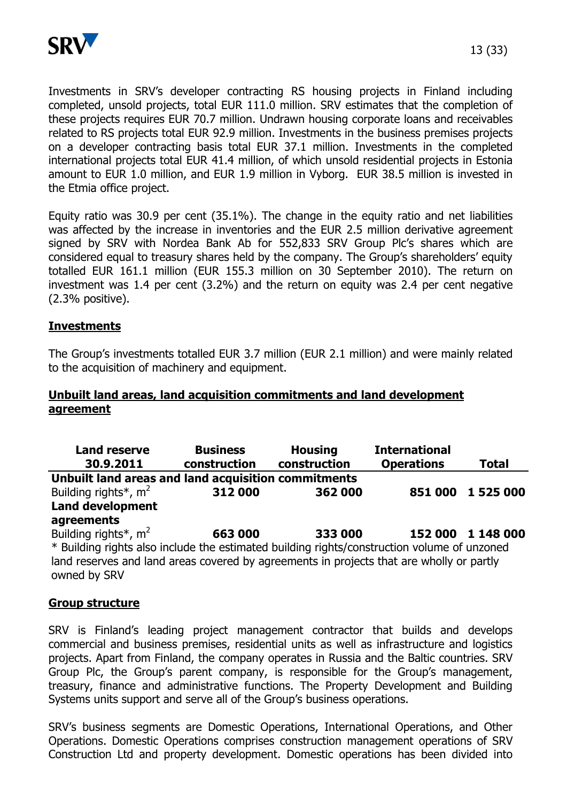

Investments in SRV's developer contracting RS housing projects in Finland including completed, unsold projects, total EUR 111.0 million. SRV estimates that the completion of these projects requires EUR 70.7 million. Undrawn housing corporate loans and receivables related to RS projects total EUR 92.9 million. Investments in the business premises projects on a developer contracting basis total EUR 37.1 million. Investments in the completed international projects total EUR 41.4 million, of which unsold residential projects in Estonia amount to EUR 1.0 million, and EUR 1.9 million in Vyborg. EUR 38.5 million is invested in the Etmia office project.

Equity ratio was 30.9 per cent (35.1%). The change in the equity ratio and net liabilities was affected by the increase in inventories and the EUR 2.5 million derivative agreement signed by SRV with Nordea Bank Ab for 552,833 SRV Group Plc's shares which are considered equal to treasury shares held by the company. The Group's shareholders' equity totalled EUR 161.1 million (EUR 155.3 million on 30 September 2010). The return on investment was 1.4 per cent (3.2%) and the return on equity was 2.4 per cent negative (2.3% positive).

#### **Investments**

The Group's investments totalled EUR 3.7 million (EUR 2.1 million) and were mainly related to the acquisition of machinery and equipment.

## **Unbuilt land areas, land acquisition commitments and land development agreement**

| <b>Land reserve</b><br>30.9.2011                                                            | <b>Business</b><br>construction | <b>Housing</b><br>construction | <b>International</b><br><b>Operations</b> | <b>Total</b>      |
|---------------------------------------------------------------------------------------------|---------------------------------|--------------------------------|-------------------------------------------|-------------------|
| Unbuilt land areas and land acquisition commitments                                         |                                 |                                |                                           |                   |
| Building rights <sup>*</sup> , $m^2$                                                        | 312 000                         | 362 000                        | 851 000                                   | 1 525 000         |
| <b>Land development</b>                                                                     |                                 |                                |                                           |                   |
| agreements                                                                                  |                                 |                                |                                           |                   |
| Building rights <sup>*</sup> , $m2$                                                         | 663 000                         | 333 000                        |                                           | 152 000 1 148 000 |
| * Building rights also include the estimated building rights/construction volume of unzoned |                                 |                                |                                           |                   |
| land reserves and land areas covered by agreements in projects that are wholly or partly    |                                 |                                |                                           |                   |
| owned by SRV                                                                                |                                 |                                |                                           |                   |

#### **Group structure**

SRV is Finland's leading project management contractor that builds and develops commercial and business premises, residential units as well as infrastructure and logistics projects. Apart from Finland, the company operates in Russia and the Baltic countries. SRV Group Plc, the Group's parent company, is responsible for the Group's management, treasury, finance and administrative functions. The Property Development and Building Systems units support and serve all of the Group's business operations.

SRV's business segments are Domestic Operations, International Operations, and Other Operations. Domestic Operations comprises construction management operations of SRV Construction Ltd and property development. Domestic operations has been divided into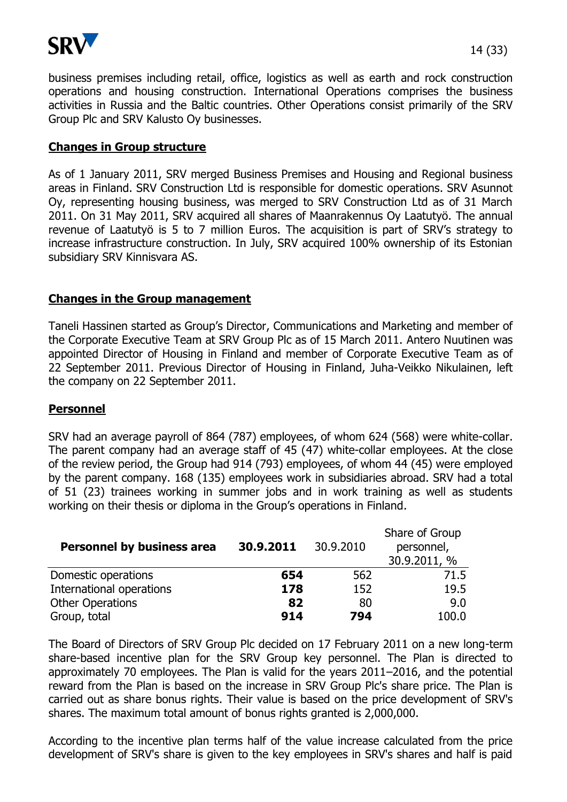

business premises including retail, office, logistics as well as earth and rock construction operations and housing construction. International Operations comprises the business activities in Russia and the Baltic countries. Other Operations consist primarily of the SRV Group Plc and SRV Kalusto Oy businesses.

## **Changes in Group structure**

As of 1 January 2011, SRV merged Business Premises and Housing and Regional business areas in Finland. SRV Construction Ltd is responsible for domestic operations. SRV Asunnot Oy, representing housing business, was merged to SRV Construction Ltd as of 31 March 2011. On 31 May 2011, SRV acquired all shares of Maanrakennus Oy Laatutyö. The annual revenue of Laatutyö is 5 to 7 million Euros. The acquisition is part of SRV's strategy to increase infrastructure construction. In July, SRV acquired 100% ownership of its Estonian subsidiary SRV Kinnisvara AS.

# **Changes in the Group management**

Taneli Hassinen started as Group's Director, Communications and Marketing and member of the Corporate Executive Team at SRV Group Plc as of 15 March 2011. Antero Nuutinen was appointed Director of Housing in Finland and member of Corporate Executive Team as of 22 September 2011. Previous Director of Housing in Finland, Juha-Veikko Nikulainen, left the company on 22 September 2011.

# **Personnel**

SRV had an average payroll of 864 (787) employees, of whom 624 (568) were white-collar. The parent company had an average staff of 45 (47) white-collar employees. At the close of the review period, the Group had 914 (793) employees, of whom 44 (45) were employed by the parent company. 168 (135) employees work in subsidiaries abroad. SRV had a total of 51 (23) trainees working in summer jobs and in work training as well as students working on their thesis or diploma in the Group's operations in Finland.

| <b>Personnel by business area</b> | 30.9.2011 | 30.9.2010 | Share of Group<br>personnel,<br>30.9.2011, % |
|-----------------------------------|-----------|-----------|----------------------------------------------|
| Domestic operations               | 654       | 562       | 71.5                                         |
| International operations          | 178       | 152       | 19.5                                         |
| <b>Other Operations</b>           | 82        | 80        | 9.0                                          |
| Group, total                      | 914       | 794       | 100.0                                        |

The Board of Directors of SRV Group Plc decided on 17 February 2011 on a new long-term share-based incentive plan for the SRV Group key personnel. The Plan is directed to approximately 70 employees. The Plan is valid for the years 2011–2016, and the potential reward from the Plan is based on the increase in SRV Group Plc's share price. The Plan is carried out as share bonus rights. Their value is based on the price development of SRV's shares. The maximum total amount of bonus rights granted is 2,000,000.

According to the incentive plan terms half of the value increase calculated from the price development of SRV's share is given to the key employees in SRV's shares and half is paid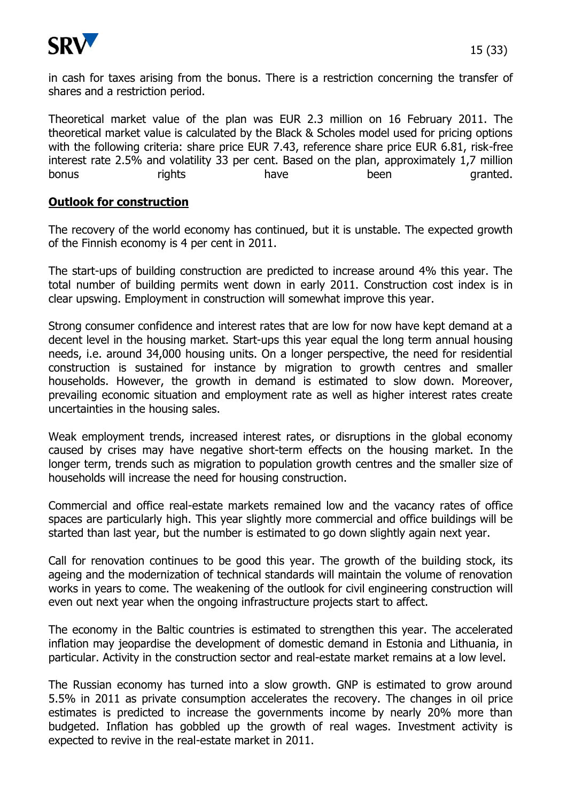

in cash for taxes arising from the bonus. There is a restriction concerning the transfer of shares and a restriction period.

Theoretical market value of the plan was EUR 2.3 million on 16 February 2011. The theoretical market value is calculated by the Black & Scholes model used for pricing options with the following criteria: share price EUR 7.43, reference share price EUR 6.81, risk-free interest rate 2.5% and volatility 33 per cent. Based on the plan, approximately 1,7 million bonus rights have been granted.

## **Outlook for construction**

The recovery of the world economy has continued, but it is unstable. The expected growth of the Finnish economy is 4 per cent in 2011.

The start-ups of building construction are predicted to increase around 4% this year. The total number of building permits went down in early 2011. Construction cost index is in clear upswing. Employment in construction will somewhat improve this year.

Strong consumer confidence and interest rates that are low for now have kept demand at a decent level in the housing market. Start-ups this year equal the long term annual housing needs, i.e. around 34,000 housing units. On a longer perspective, the need for residential construction is sustained for instance by migration to growth centres and smaller households. However, the growth in demand is estimated to slow down. Moreover, prevailing economic situation and employment rate as well as higher interest rates create uncertainties in the housing sales.

Weak employment trends, increased interest rates, or disruptions in the global economy caused by crises may have negative short-term effects on the housing market. In the longer term, trends such as migration to population growth centres and the smaller size of households will increase the need for housing construction.

Commercial and office real-estate markets remained low and the vacancy rates of office spaces are particularly high. This year slightly more commercial and office buildings will be started than last year, but the number is estimated to go down slightly again next year.

Call for renovation continues to be good this year. The growth of the building stock, its ageing and the modernization of technical standards will maintain the volume of renovation works in years to come. The weakening of the outlook for civil engineering construction will even out next year when the ongoing infrastructure projects start to affect.

The economy in the Baltic countries is estimated to strengthen this year. The accelerated inflation may jeopardise the development of domestic demand in Estonia and Lithuania, in particular. Activity in the construction sector and real-estate market remains at a low level.

The Russian economy has turned into a slow growth. GNP is estimated to grow around 5.5% in 2011 as private consumption accelerates the recovery. The changes in oil price estimates is predicted to increase the governments income by nearly 20% more than budgeted. Inflation has gobbled up the growth of real wages. Investment activity is expected to revive in the real-estate market in 2011.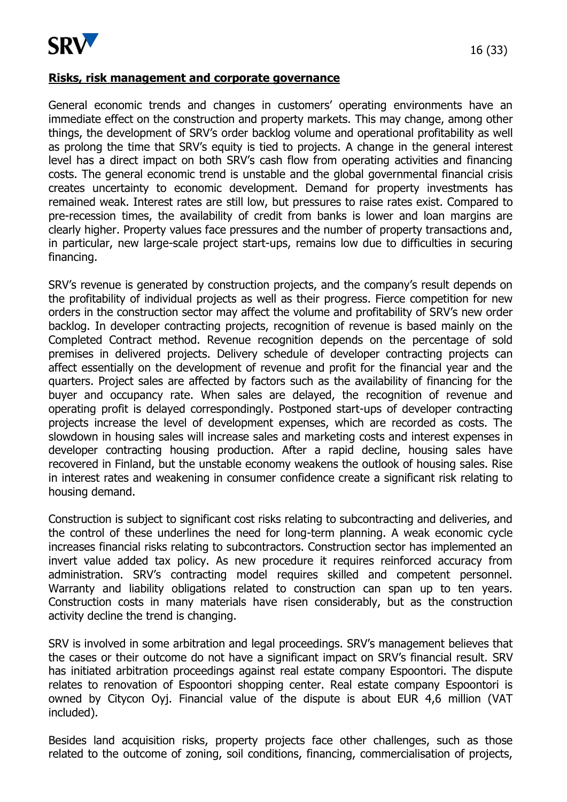

#### **Risks, risk management and corporate governance**

General economic trends and changes in customers' operating environments have an immediate effect on the construction and property markets. This may change, among other things, the development of SRV's order backlog volume and operational profitability as well as prolong the time that SRV's equity is tied to projects. A change in the general interest level has a direct impact on both SRV's cash flow from operating activities and financing costs. The general economic trend is unstable and the global governmental financial crisis creates uncertainty to economic development. Demand for property investments has remained weak. Interest rates are still low, but pressures to raise rates exist. Compared to pre-recession times, the availability of credit from banks is lower and loan margins are clearly higher. Property values face pressures and the number of property transactions and, in particular, new large-scale project start-ups, remains low due to difficulties in securing financing.

SRV's revenue is generated by construction projects, and the company's result depends on the profitability of individual projects as well as their progress. Fierce competition for new orders in the construction sector may affect the volume and profitability of SRV's new order backlog. In developer contracting projects, recognition of revenue is based mainly on the Completed Contract method. Revenue recognition depends on the percentage of sold premises in delivered projects. Delivery schedule of developer contracting projects can affect essentially on the development of revenue and profit for the financial year and the quarters. Project sales are affected by factors such as the availability of financing for the buyer and occupancy rate. When sales are delayed, the recognition of revenue and operating profit is delayed correspondingly. Postponed start-ups of developer contracting projects increase the level of development expenses, which are recorded as costs. The slowdown in housing sales will increase sales and marketing costs and interest expenses in developer contracting housing production. After a rapid decline, housing sales have recovered in Finland, but the unstable economy weakens the outlook of housing sales. Rise in interest rates and weakening in consumer confidence create a significant risk relating to housing demand.

Construction is subject to significant cost risks relating to subcontracting and deliveries, and the control of these underlines the need for long-term planning. A weak economic cycle increases financial risks relating to subcontractors. Construction sector has implemented an invert value added tax policy. As new procedure it requires reinforced accuracy from administration. SRV's contracting model requires skilled and competent personnel. Warranty and liability obligations related to construction can span up to ten years. Construction costs in many materials have risen considerably, but as the construction activity decline the trend is changing.

SRV is involved in some arbitration and legal proceedings. SRV's management believes that the cases or their outcome do not have a significant impact on SRV's financial result. SRV has initiated arbitration proceedings against real estate company Espoontori. The dispute relates to renovation of Espoontori shopping center. Real estate company Espoontori is owned by Citycon Oyj. Financial value of the dispute is about EUR 4,6 million (VAT included).

Besides land acquisition risks, property projects face other challenges, such as those related to the outcome of zoning, soil conditions, financing, commercialisation of projects,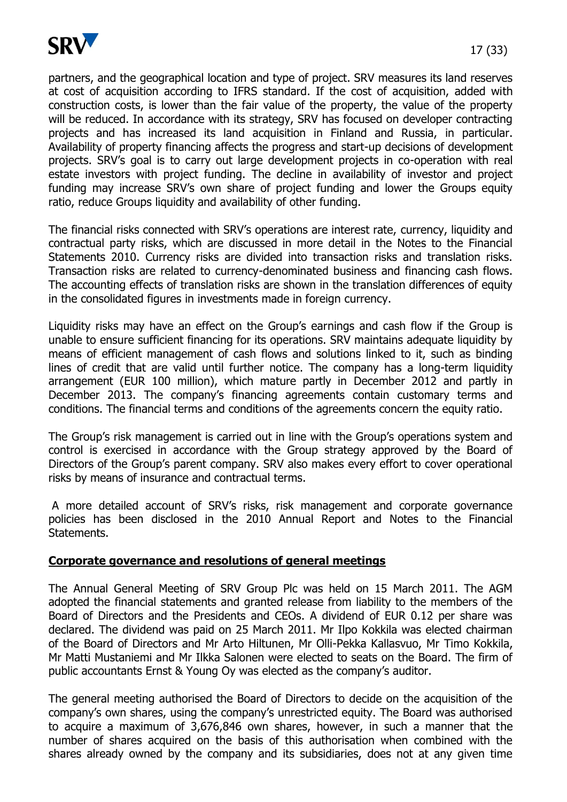

partners, and the geographical location and type of project. SRV measures its land reserves at cost of acquisition according to IFRS standard. If the cost of acquisition, added with construction costs, is lower than the fair value of the property, the value of the property will be reduced. In accordance with its strategy, SRV has focused on developer contracting projects and has increased its land acquisition in Finland and Russia, in particular. Availability of property financing affects the progress and start-up decisions of development projects. SRV's goal is to carry out large development projects in co-operation with real estate investors with project funding. The decline in availability of investor and project funding may increase SRV's own share of project funding and lower the Groups equity ratio, reduce Groups liquidity and availability of other funding.

The financial risks connected with SRV's operations are interest rate, currency, liquidity and contractual party risks, which are discussed in more detail in the Notes to the Financial Statements 2010. Currency risks are divided into transaction risks and translation risks. Transaction risks are related to currency-denominated business and financing cash flows. The accounting effects of translation risks are shown in the translation differences of equity in the consolidated figures in investments made in foreign currency.

Liquidity risks may have an effect on the Group's earnings and cash flow if the Group is unable to ensure sufficient financing for its operations. SRV maintains adequate liquidity by means of efficient management of cash flows and solutions linked to it, such as binding lines of credit that are valid until further notice. The company has a long-term liquidity arrangement (EUR 100 million), which mature partly in December 2012 and partly in December 2013. The company's financing agreements contain customary terms and conditions. The financial terms and conditions of the agreements concern the equity ratio.

The Group's risk management is carried out in line with the Group's operations system and control is exercised in accordance with the Group strategy approved by the Board of Directors of the Group's parent company. SRV also makes every effort to cover operational risks by means of insurance and contractual terms.

A more detailed account of SRV's risks, risk management and corporate governance policies has been disclosed in the 2010 Annual Report and Notes to the Financial Statements.

#### **Corporate governance and resolutions of general meetings**

The Annual General Meeting of SRV Group Plc was held on 15 March 2011. The AGM adopted the financial statements and granted release from liability to the members of the Board of Directors and the Presidents and CEOs. A dividend of EUR 0.12 per share was declared. The dividend was paid on 25 March 2011. Mr Ilpo Kokkila was elected chairman of the Board of Directors and Mr Arto Hiltunen, Mr Olli-Pekka Kallasvuo, Mr Timo Kokkila, Mr Matti Mustaniemi and Mr Ilkka Salonen were elected to seats on the Board. The firm of public accountants Ernst & Young Oy was elected as the company's auditor.

The general meeting authorised the Board of Directors to decide on the acquisition of the company's own shares, using the company's unrestricted equity. The Board was authorised to acquire a maximum of 3,676,846 own shares, however, in such a manner that the number of shares acquired on the basis of this authorisation when combined with the shares already owned by the company and its subsidiaries, does not at any given time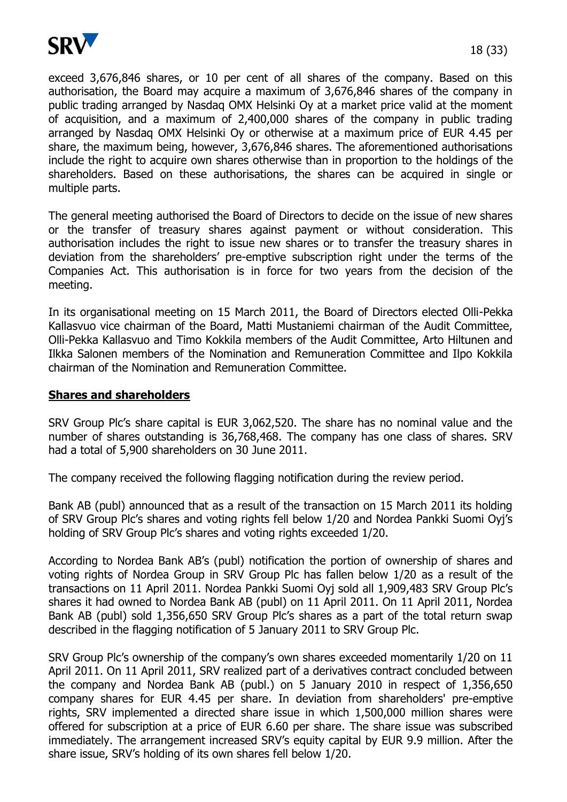

exceed 3,676,846 shares, or 10 per cent of all shares of the company. Based on this authorisation, the Board may acquire a maximum of 3,676,846 shares of the company in public trading arranged by Nasdaq OMX Helsinki Oy at a market price valid at the moment of acquisition, and a maximum of 2,400,000 shares of the company in public trading arranged by Nasdaq OMX Helsinki Oy or otherwise at a maximum price of EUR 4.45 per share, the maximum being, however, 3,676,846 shares. The aforementioned authorisations include the right to acquire own shares otherwise than in proportion to the holdings of the shareholders. Based on these authorisations, the shares can be acquired in single or multiple parts.

The general meeting authorised the Board of Directors to decide on the issue of new shares or the transfer of treasury shares against payment or without consideration. This authorisation includes the right to issue new shares or to transfer the treasury shares in deviation from the shareholders' pre-emptive subscription right under the terms of the Companies Act. This authorisation is in force for two years from the decision of the meeting.

In its organisational meeting on 15 March 2011, the Board of Directors elected Olli-Pekka Kallasvuo vice chairman of the Board, Matti Mustaniemi chairman of the Audit Committee, Olli-Pekka Kallasvuo and Timo Kokkila members of the Audit Committee, Arto Hiltunen and Ilkka Salonen members of the Nomination and Remuneration Committee and Ilpo Kokkila chairman of the Nomination and Remuneration Committee.

#### **Shares and shareholders**

SRV Group Plc's share capital is EUR 3,062,520. The share has no nominal value and the number of shares outstanding is 36,768,468. The company has one class of shares. SRV had a total of 5,900 shareholders on 30 June 2011.

The company received the following flagging notification during the review period.

Bank AB (publ) announced that as a result of the transaction on 15 March 2011 its holding of SRV Group Plc's shares and voting rights fell below 1/20 and Nordea Pankki Suomi Oyj's holding of SRV Group Plc's shares and voting rights exceeded 1/20.

According to Nordea Bank AB's (publ) notification the portion of ownership of shares and voting rights of Nordea Group in SRV Group Plc has fallen below 1/20 as a result of the transactions on 11 April 2011. Nordea Pankki Suomi Oyj sold all 1,909,483 SRV Group Plc's shares it had owned to Nordea Bank AB (publ) on 11 April 2011. On 11 April 2011, Nordea Bank AB (publ) sold 1,356,650 SRV Group Plc's shares as a part of the total return swap described in the flagging notification of 5 January 2011 to SRV Group Plc.

SRV Group Plc's ownership of the company's own shares exceeded momentarily 1/20 on 11 April 2011. On 11 April 2011, SRV realized part of a derivatives contract concluded between the company and Nordea Bank AB (publ.) on 5 January 2010 in respect of 1,356,650 company shares for EUR 4.45 per share. In deviation from shareholders' pre-emptive rights, SRV implemented a directed share issue in which 1,500,000 million shares were offered for subscription at a price of EUR 6.60 per share. The share issue was subscribed immediately. The arrangement increased SRV's equity capital by EUR 9.9 million. After the share issue, SRV's holding of its own shares fell below 1/20.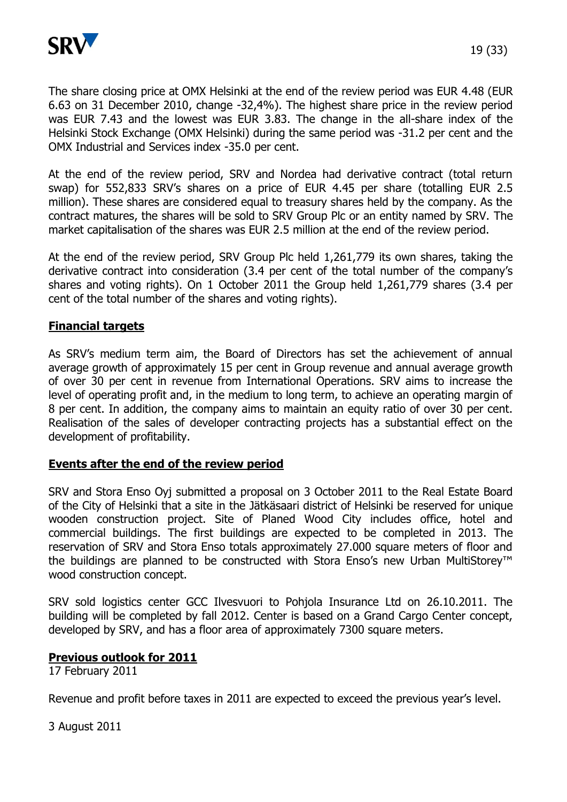

The share closing price at OMX Helsinki at the end of the review period was EUR 4.48 (EUR 6.63 on 31 December 2010, change -32,4%). The highest share price in the review period was EUR 7.43 and the lowest was EUR 3.83. The change in the all-share index of the Helsinki Stock Exchange (OMX Helsinki) during the same period was -31.2 per cent and the OMX Industrial and Services index -35.0 per cent.

At the end of the review period, SRV and Nordea had derivative contract (total return swap) for 552,833 SRV's shares on a price of EUR 4.45 per share (totalling EUR 2.5 million). These shares are considered equal to treasury shares held by the company. As the contract matures, the shares will be sold to SRV Group Plc or an entity named by SRV. The market capitalisation of the shares was EUR 2.5 million at the end of the review period.

At the end of the review period, SRV Group Plc held 1,261,779 its own shares, taking the derivative contract into consideration (3.4 per cent of the total number of the company's shares and voting rights). On 1 October 2011 the Group held 1,261,779 shares (3.4 per cent of the total number of the shares and voting rights).

## **Financial targets**

As SRV's medium term aim, the Board of Directors has set the achievement of annual average growth of approximately 15 per cent in Group revenue and annual average growth of over 30 per cent in revenue from International Operations. SRV aims to increase the level of operating profit and, in the medium to long term, to achieve an operating margin of 8 per cent. In addition, the company aims to maintain an equity ratio of over 30 per cent. Realisation of the sales of developer contracting projects has a substantial effect on the development of profitability.

#### **Events after the end of the review period**

SRV and Stora Enso Oyj submitted a proposal on 3 October 2011 to the Real Estate Board of the City of Helsinki that a site in the Jätkäsaari district of Helsinki be reserved for unique wooden construction project. Site of Planed Wood City includes office, hotel and commercial buildings. The first buildings are expected to be completed in 2013. The reservation of SRV and Stora Enso totals approximately 27.000 square meters of floor and the buildings are planned to be constructed with Stora Enso's new Urban MultiStorey™ wood construction concept.

SRV sold logistics center GCC Ilvesvuori to Pohjola Insurance Ltd on 26.10.2011. The building will be completed by fall 2012. Center is based on a Grand Cargo Center concept, developed by SRV, and has a floor area of approximately 7300 square meters.

#### **Previous outlook for 2011**

17 February 2011

Revenue and profit before taxes in 2011 are expected to exceed the previous year's level.

3 August 2011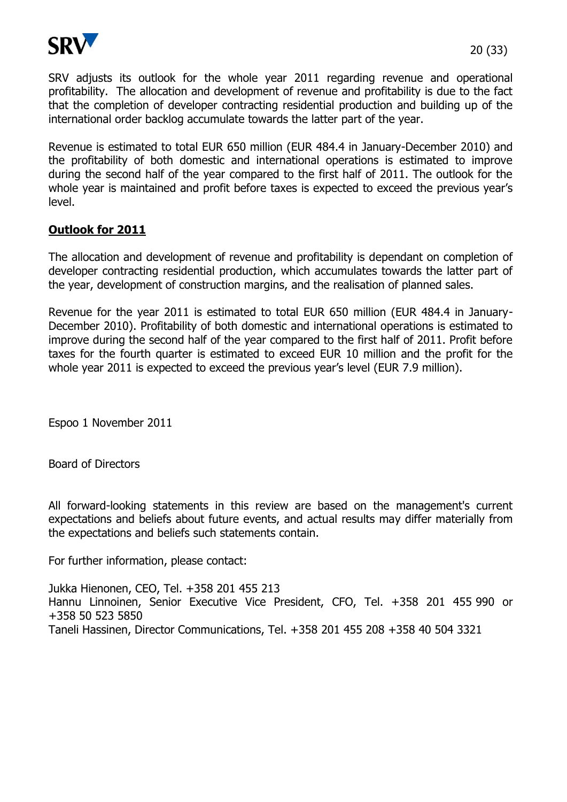

SRV adjusts its outlook for the whole year 2011 regarding revenue and operational profitability. The allocation and development of revenue and profitability is due to the fact that the completion of developer contracting residential production and building up of the international order backlog accumulate towards the latter part of the year.

Revenue is estimated to total EUR 650 million (EUR 484.4 in January-December 2010) and the profitability of both domestic and international operations is estimated to improve during the second half of the year compared to the first half of 2011. The outlook for the whole year is maintained and profit before taxes is expected to exceed the previous year's level.

# **Outlook for 2011**

The allocation and development of revenue and profitability is dependant on completion of developer contracting residential production, which accumulates towards the latter part of the year, development of construction margins, and the realisation of planned sales.

Revenue for the year 2011 is estimated to total EUR 650 million (EUR 484.4 in January-December 2010). Profitability of both domestic and international operations is estimated to improve during the second half of the year compared to the first half of 2011. Profit before taxes for the fourth quarter is estimated to exceed EUR 10 million and the profit for the whole year 2011 is expected to exceed the previous year's level (EUR 7.9 million).

Espoo 1 November 2011

Board of Directors

All forward-looking statements in this review are based on the management's current expectations and beliefs about future events, and actual results may differ materially from the expectations and beliefs such statements contain.

For further information, please contact:

Jukka Hienonen, CEO, Tel. +358 201 455 213 Hannu Linnoinen, Senior Executive Vice President, CFO, Tel. +358 201 455 990 or +358 50 523 5850 Taneli Hassinen, Director Communications, Tel. +358 201 455 208 +358 40 504 3321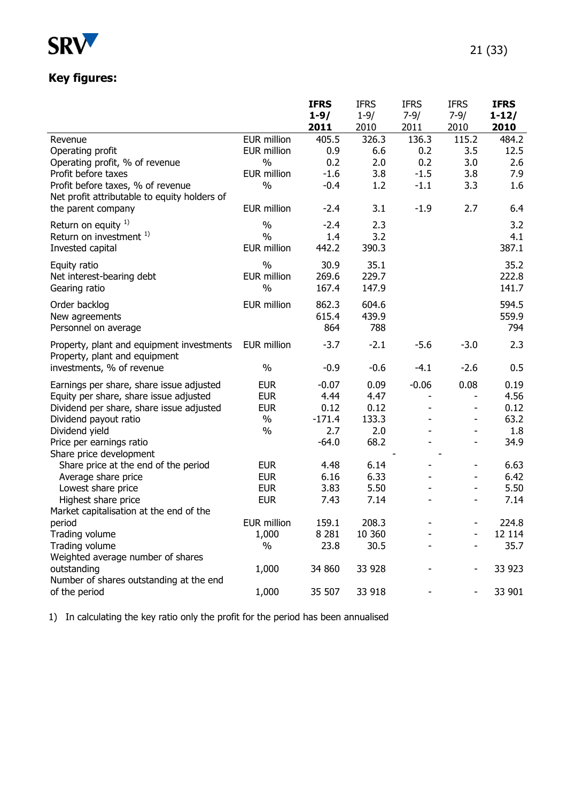

# **Key figures:**

|                                              |                             | <b>IFRS</b>      | <b>IFRS</b>     | <b>IFRS</b>              | <b>IFRS</b>              | <b>IFRS</b>     |
|----------------------------------------------|-----------------------------|------------------|-----------------|--------------------------|--------------------------|-----------------|
|                                              |                             | $1 - 9/$         | $1 - 9/$        | $7 - 9/$                 | $7 - 9/$                 | $1 - 12/$       |
|                                              |                             | 2011             | 2010            | 2011                     | 2010                     | 2010            |
| Revenue                                      | <b>EUR million</b>          | 405.5            | 326.3           | 136.3                    | 115.2                    | 484.2           |
| Operating profit                             | <b>EUR million</b>          | 0.9              | 6.6             | 0.2                      | 3.5                      | 12.5            |
| Operating profit, % of revenue               | $\%$                        | 0.2              | 2.0             | 0.2                      | 3.0                      | 2.6             |
| Profit before taxes                          | <b>EUR million</b>          | $-1.6$           | 3.8             | $-1.5$                   | 3.8                      | 7.9             |
| Profit before taxes, % of revenue            | $\%$                        | $-0.4$           | 1.2             | $-1.1$                   | 3.3                      | 1.6             |
| Net profit attributable to equity holders of |                             |                  |                 |                          |                          |                 |
| the parent company                           | <b>EUR million</b>          | $-2.4$           | 3.1             | $-1.9$                   | 2.7                      | 6.4             |
| Return on equity $1$ )                       | $\%$                        | $-2.4$           | 2.3             |                          |                          | 3.2             |
| Return on investment <sup>1)</sup>           | $\%$                        | 1.4              | 3.2             |                          |                          | 4.1             |
| Invested capital                             | <b>EUR million</b>          | 442.2            | 390.3           |                          |                          | 387.1           |
| Equity ratio                                 | $\frac{0}{0}$               | 30.9             | 35.1            |                          |                          | 35.2            |
| Net interest-bearing debt                    | <b>EUR million</b>          | 269.6            | 229.7           |                          |                          | 222.8           |
| Gearing ratio                                | $\%$                        | 167.4            | 147.9           |                          |                          | 141.7           |
| Order backlog                                | <b>EUR million</b>          | 862.3            | 604.6           |                          |                          | 594.5           |
| New agreements                               |                             | 615.4            | 439.9           |                          |                          | 559.9           |
| Personnel on average                         |                             | 864              | 788             |                          |                          | 794             |
| Property, plant and equipment investments    | <b>EUR million</b>          | $-3.7$           | $-2.1$          | $-5.6$                   | $-3.0$                   | 2.3             |
| Property, plant and equipment                |                             |                  |                 |                          |                          |                 |
| investments, % of revenue                    | $\%$                        | $-0.9$           | $-0.6$          | $-4.1$                   | $-2.6$                   | 0.5             |
| Earnings per share, share issue adjusted     | <b>EUR</b>                  | $-0.07$          | 0.09            | $-0.06$                  | 0.08                     | 0.19            |
| Equity per share, share issue adjusted       | <b>EUR</b>                  | 4.44             | 4.47            | $\overline{\phantom{a}}$ | $\overline{\phantom{a}}$ | 4.56            |
| Dividend per share, share issue adjusted     | <b>EUR</b>                  | 0.12             | 0.12            |                          |                          | 0.12            |
| Dividend payout ratio                        | $\%$                        | $-171.4$         | 133.3           |                          | $\overline{\phantom{0}}$ | 63.2            |
| Dividend yield                               | $\%$                        | 2.7              | 2.0             |                          |                          | 1.8             |
| Price per earnings ratio                     |                             | $-64.0$          | 68.2            |                          |                          | 34.9            |
| Share price development                      |                             |                  |                 |                          |                          |                 |
| Share price at the end of the period         | <b>EUR</b>                  | 4.48             | 6.14            |                          | $\overline{\phantom{a}}$ | 6.63            |
| Average share price                          | <b>EUR</b>                  | 6.16             | 6.33            |                          | $\overline{\phantom{a}}$ | 6.42            |
| Lowest share price                           | <b>EUR</b>                  | 3.83             | 5.50            |                          | $\overline{\phantom{a}}$ | 5.50            |
| Highest share price                          | <b>EUR</b>                  | 7.43             | 7.14            |                          |                          | 7.14            |
| Market capitalisation at the end of the      |                             |                  |                 |                          |                          |                 |
| period<br>Trading volume                     | <b>EUR million</b><br>1,000 | 159.1<br>8 2 8 1 | 208.3<br>10 360 |                          |                          | 224.8<br>12 114 |
| Trading volume                               | $\%$                        | 23.8             | 30.5            |                          |                          | 35.7            |
| Weighted average number of shares            |                             |                  |                 |                          |                          |                 |
| outstanding                                  | 1,000                       | 34 860           | 33 928          |                          |                          | 33 923          |
| Number of shares outstanding at the end      |                             |                  |                 |                          |                          |                 |
| of the period                                | 1,000                       | 35 507           | 33 918          |                          |                          | 33 901          |
|                                              |                             |                  |                 |                          |                          |                 |

1) In calculating the key ratio only the profit for the period has been annualised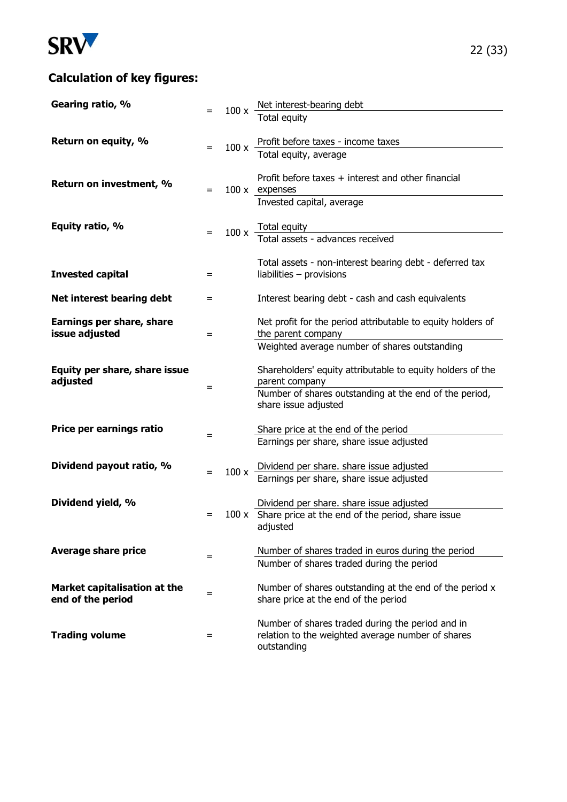

# **Calculation of key figures:**

| Gearing ratio, %                                  |     | $100 \times \frac{\text{Net interest-bearing debt}}{\text{Total equity}}$                                            |
|---------------------------------------------------|-----|----------------------------------------------------------------------------------------------------------------------|
|                                                   |     |                                                                                                                      |
| Return on equity, %                               |     | 100 x $\frac{\text{Profit before taxes - income taxes}}{\text{Total equity, average}}$                               |
|                                                   |     |                                                                                                                      |
| Return on investment, %                           | $=$ | Profit before taxes + interest and other financial<br>100 x expenses                                                 |
|                                                   |     | Invested capital, average                                                                                            |
| Equity ratio, %                                   |     | $100 \times$ Total equity<br>Total assets - advances received                                                        |
| <b>Invested capital</b>                           | $=$ | Total assets - non-interest bearing debt - deferred tax<br>liabilities $-$ provisions                                |
|                                                   |     |                                                                                                                      |
| Net interest bearing debt                         | =   | Interest bearing debt - cash and cash equivalents                                                                    |
| Earnings per share, share<br>issue adjusted       | =   | Net profit for the period attributable to equity holders of<br>the parent company                                    |
|                                                   |     | Weighted average number of shares outstanding                                                                        |
| Equity per share, share issue<br>adjusted         |     | Shareholders' equity attributable to equity holders of the<br>parent company                                         |
|                                                   | =   | Number of shares outstanding at the end of the period,<br>share issue adjusted                                       |
| Price per earnings ratio                          |     | Share price at the end of the period                                                                                 |
|                                                   | =   | Earnings per share, share issue adjusted                                                                             |
| Dividend payout ratio, %                          | =   | 100 x Dividend per share. share issue adjusted<br>Earnings per share, share issue adjusted                           |
|                                                   |     |                                                                                                                      |
| Dividend yield, %                                 |     | Dividend per share. share issue adjusted                                                                             |
|                                                   | $=$ | 100 x Share price at the end of the period, share issue<br>adjusted                                                  |
| <b>Average share price</b>                        |     | Number of shares traded in euros during the period                                                                   |
|                                                   | =   | Number of shares traded during the period                                                                            |
| Market capitalisation at the<br>end of the period | =   | Number of shares outstanding at the end of the period x<br>share price at the end of the period                      |
| <b>Trading volume</b>                             | =   | Number of shares traded during the period and in<br>relation to the weighted average number of shares<br>outstanding |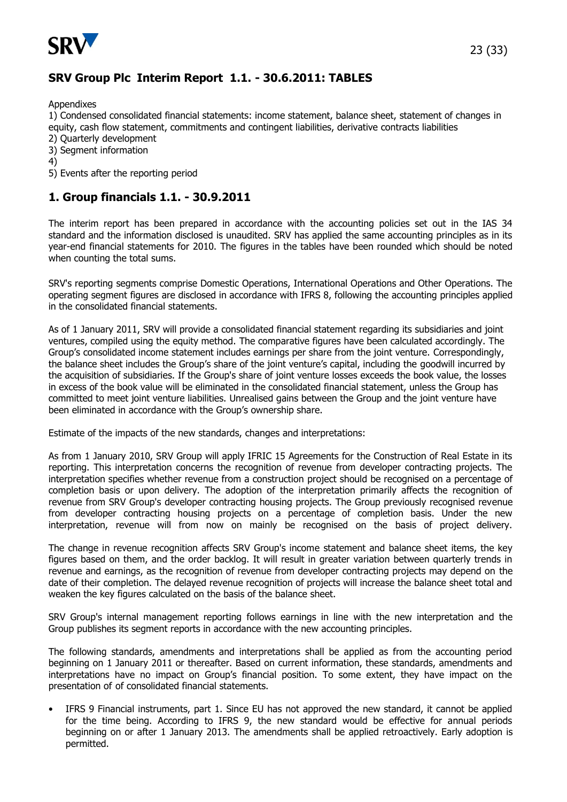

# **SRV Group Plc Interim Report 1.1. - 30.6.2011: TABLES**

Appendixes

1) Condensed consolidated financial statements: income statement, balance sheet, statement of changes in equity, cash flow statement, commitments and contingent liabilities, derivative contracts liabilities

- 2) Quarterly development
- 3) Segment information
- 4)
- 5) Events after the reporting period

## **1. Group financials 1.1. - 30.9.2011**

The interim report has been prepared in accordance with the accounting policies set out in the IAS 34 standard and the information disclosed is unaudited. SRV has applied the same accounting principles as in its year-end financial statements for 2010. The figures in the tables have been rounded which should be noted when counting the total sums.

SRV's reporting segments comprise Domestic Operations, International Operations and Other Operations. The operating segment figures are disclosed in accordance with IFRS 8, following the accounting principles applied in the consolidated financial statements.

As of 1 January 2011, SRV will provide a consolidated financial statement regarding its subsidiaries and joint ventures, compiled using the equity method. The comparative figures have been calculated accordingly. The Group's consolidated income statement includes earnings per share from the joint venture. Correspondingly, the balance sheet includes the Group's share of the joint venture's capital, including the goodwill incurred by the acquisition of subsidiaries. If the Group's share of joint venture losses exceeds the book value, the losses in excess of the book value will be eliminated in the consolidated financial statement, unless the Group has committed to meet joint venture liabilities. Unrealised gains between the Group and the joint venture have been eliminated in accordance with the Group's ownership share.

Estimate of the impacts of the new standards, changes and interpretations:

As from 1 January 2010, SRV Group will apply IFRIC 15 Agreements for the Construction of Real Estate in its reporting. This interpretation concerns the recognition of revenue from developer contracting projects. The interpretation specifies whether revenue from a construction project should be recognised on a percentage of completion basis or upon delivery. The adoption of the interpretation primarily affects the recognition of revenue from SRV Group's developer contracting housing projects. The Group previously recognised revenue from developer contracting housing projects on a percentage of completion basis. Under the new interpretation, revenue will from now on mainly be recognised on the basis of project delivery.

The change in revenue recognition affects SRV Group's income statement and balance sheet items, the key figures based on them, and the order backlog. It will result in greater variation between quarterly trends in revenue and earnings, as the recognition of revenue from developer contracting projects may depend on the date of their completion. The delayed revenue recognition of projects will increase the balance sheet total and weaken the key figures calculated on the basis of the balance sheet.

SRV Group's internal management reporting follows earnings in line with the new interpretation and the Group publishes its segment reports in accordance with the new accounting principles.

The following standards, amendments and interpretations shall be applied as from the accounting period beginning on 1 January 2011 or thereafter. Based on current information, these standards, amendments and interpretations have no impact on Group's financial position. To some extent, they have impact on the presentation of of consolidated financial statements.

• IFRS 9 Financial instruments, part 1. Since EU has not approved the new standard, it cannot be applied for the time being. According to IFRS 9, the new standard would be effective for annual periods beginning on or after 1 January 2013. The amendments shall be applied retroactively. Early adoption is permitted.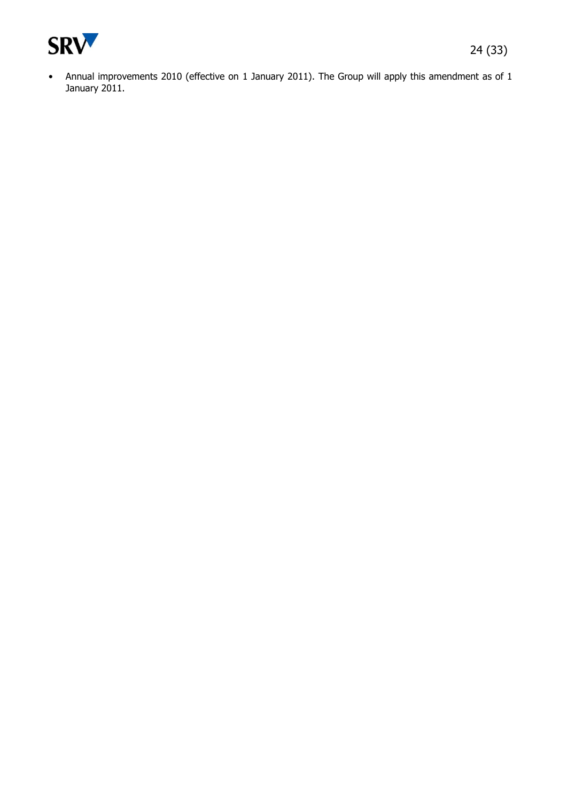

• Annual improvements 2010 (effective on 1 January 2011). The Group will apply this amendment as of 1 January 2011.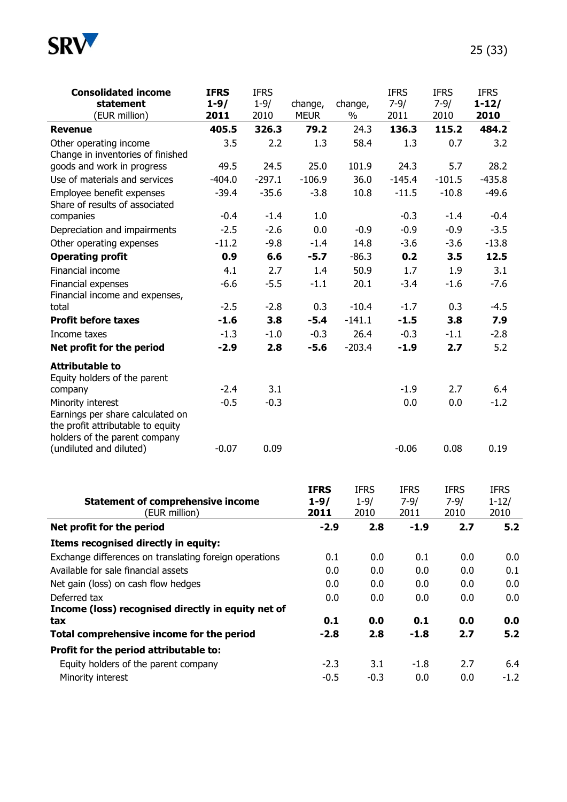

| <b>Consolidated income</b>                                                                 | <b>IFRS</b> | <b>IFRS</b> |                                 |                                 | <b>IFRS</b>                     | <b>IFRS</b>                     | <b>IFRS</b>                      |
|--------------------------------------------------------------------------------------------|-------------|-------------|---------------------------------|---------------------------------|---------------------------------|---------------------------------|----------------------------------|
| statement                                                                                  | $1 - 9/$    | $1 - 9/$    | change,                         | change,                         | $7 - 9/$                        | $7 - 9/$                        | $1 - 12/$                        |
| (EUR million)                                                                              | 2011        | 2010        | <b>MEUR</b>                     | %                               | 2011                            | 2010                            | 2010                             |
| <b>Revenue</b>                                                                             | 405.5       | 326.3       | 79.2                            | 24.3                            | 136.3                           | 115.2                           | 484.2                            |
| Other operating income                                                                     | 3.5         | 2.2         | 1.3                             | 58.4                            | 1.3                             | 0.7                             | 3.2                              |
| Change in inventories of finished                                                          |             |             |                                 |                                 |                                 |                                 |                                  |
| goods and work in progress                                                                 | 49.5        | 24.5        | 25.0                            | 101.9                           | 24.3                            | 5.7                             | 28.2                             |
| Use of materials and services                                                              | $-404.0$    | $-297.1$    | $-106.9$                        | 36.0                            | $-145.4$                        | $-101.5$                        | $-435.8$                         |
| Employee benefit expenses<br>Share of results of associated                                | $-39.4$     | $-35.6$     | $-3.8$                          | 10.8                            | $-11.5$                         | $-10.8$                         | $-49.6$                          |
| companies                                                                                  | $-0.4$      | $-1.4$      | 1.0                             |                                 | $-0.3$                          | $-1.4$                          | $-0.4$                           |
| Depreciation and impairments                                                               | $-2.5$      | $-2.6$      | 0.0                             | $-0.9$                          | $-0.9$                          | $-0.9$                          | $-3.5$                           |
| Other operating expenses                                                                   | $-11.2$     | $-9.8$      | $-1.4$                          | 14.8                            | $-3.6$                          | $-3.6$                          | $-13.8$                          |
| <b>Operating profit</b>                                                                    | 0.9         | 6.6         | $-5.7$                          | $-86.3$                         | 0.2                             | 3.5                             | 12.5                             |
| Financial income                                                                           | 4.1         | 2.7         | 1.4                             | 50.9                            | 1.7                             | 1.9                             | 3.1                              |
| Financial expenses<br>Financial income and expenses,                                       | $-6.6$      | $-5.5$      | $-1.1$                          | 20.1                            | $-3.4$                          | $-1.6$                          | $-7.6$                           |
| total                                                                                      | $-2.5$      | $-2.8$      | 0.3                             | $-10.4$                         | $-1.7$                          | 0.3                             | $-4.5$                           |
| <b>Profit before taxes</b>                                                                 | $-1.6$      | 3.8         | $-5.4$                          | $-141.1$                        | $-1.5$                          | 3.8                             | 7.9                              |
| Income taxes                                                                               | $-1.3$      | $-1.0$      | $-0.3$                          | 26.4                            | $-0.3$                          | $-1.1$                          | $-2.8$                           |
| Net profit for the period                                                                  | $-2.9$      | 2.8         | $-5.6$                          | $-203.4$                        | $-1.9$                          | 2.7                             | 5.2                              |
| <b>Attributable to</b><br>Equity holders of the parent                                     |             |             |                                 |                                 |                                 |                                 |                                  |
| company                                                                                    | $-2.4$      | 3.1         |                                 |                                 | $-1.9$                          | 2.7                             | 6.4                              |
| Minority interest<br>Earnings per share calculated on<br>the profit attributable to equity | $-0.5$      | $-0.3$      |                                 |                                 | 0.0                             | 0.0                             | $-1.2$                           |
| holders of the parent company<br>(undiluted and diluted)                                   | $-0.07$     | 0.09        |                                 |                                 | $-0.06$                         | 0.08                            | 0.19                             |
| <b>Statement of comprehensive income</b><br>(EUR million)                                  |             |             | <b>IFRS</b><br>$1 - 9/$<br>2011 | <b>IFRS</b><br>$1 - 9/$<br>2010 | <b>IFRS</b><br>$7 - 9/$<br>2011 | <b>IFRS</b><br>$7 - 9/$<br>2010 | <b>IFRS</b><br>$1 - 12/$<br>2010 |
| Net profit for the period                                                                  |             |             | $-2.9$                          | 2.8                             | $-1.9$                          | 2.7                             | 5.2                              |
| Items recognised directly in equity:                                                       |             |             |                                 |                                 |                                 |                                 |                                  |
| Exchange differences on translating foreign operations                                     |             |             |                                 | 0.1<br>0.0                      | 0.1                             | 0.0                             | 0.0                              |
| Available for sale financial assets                                                        |             |             |                                 | 0.0<br>0.0                      | 0.0                             | 0.0                             | 0.1                              |
| Net gain (loss) on cash flow hedges                                                        |             |             |                                 | 0.0<br>0.0                      | 0.0                             | 0.0                             | 0.0                              |
| Deferred tax                                                                               |             |             |                                 | 0.0<br>0.0                      | 0.0                             | 0.0                             | 0.0                              |
| Income (loss) recognised directly in equity net of                                         |             |             |                                 |                                 |                                 |                                 |                                  |
| tax                                                                                        |             |             |                                 | 0.1<br>0.0                      | 0.1                             | 0.0                             | 0.0                              |
| Total comprehensive income for the period                                                  |             |             |                                 | $-2.8$<br>2.8                   | $-1.8$                          | 2.7                             | 5.2                              |
| Profit for the period attributable to:                                                     |             |             |                                 |                                 |                                 |                                 |                                  |
| Equity holders of the parent company                                                       |             |             | $-2.3$                          | 3.1                             | $-1.8$                          | 2.7                             | 6.4                              |
| Minority interest                                                                          |             |             |                                 | $-0.5$<br>$-0.3$                | 0.0                             | 0.0                             | $-1.2$                           |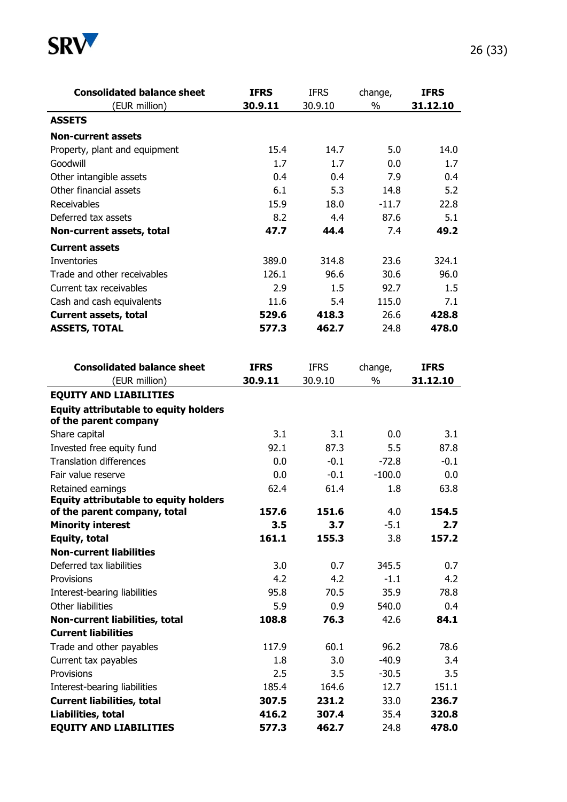

| <b>Consolidated balance sheet</b>                                 | <b>IFRS</b> | <b>IFRS</b> | change,       | <b>IFRS</b> |
|-------------------------------------------------------------------|-------------|-------------|---------------|-------------|
| (EUR million)                                                     | 30.9.11     | 30.9.10     | $\frac{0}{0}$ | 31.12.10    |
| <b>ASSETS</b>                                                     |             |             |               |             |
| <b>Non-current assets</b>                                         |             |             |               |             |
| Property, plant and equipment                                     | 15.4        | 14.7        | 5.0           | 14.0        |
| Goodwill                                                          | 1.7         | 1.7         | 0.0           | 1.7         |
| Other intangible assets                                           | 0.4         | 0.4         | 7.9           | 0.4         |
| Other financial assets                                            | 6.1         | 5.3         | 14.8          | 5.2         |
| Receivables                                                       | 15.9        | 18.0        | $-11.7$       | 22.8        |
| Deferred tax assets                                               | 8.2         | 4.4         | 87.6          | 5.1         |
| Non-current assets, total                                         | 47.7        | 44.4        | 7.4           | 49.2        |
| <b>Current assets</b>                                             |             |             |               |             |
| Inventories                                                       | 389.0       | 314.8       | 23.6          | 324.1       |
| Trade and other receivables                                       | 126.1       | 96.6        | 30.6          | 96.0        |
| Current tax receivables                                           | 2.9         | 1.5         | 92.7          | 1.5         |
| Cash and cash equivalents                                         | 11.6        | 5.4         | 115.0         | 7.1         |
| <b>Current assets, total</b>                                      | 529.6       | 418.3       | 26.6          | 428.8       |
| <b>ASSETS, TOTAL</b>                                              | 577.3       | 462.7       | 24.8          | 478.0       |
|                                                                   |             |             |               |             |
|                                                                   |             |             |               |             |
| <b>Consolidated balance sheet</b>                                 | <b>IFRS</b> | <b>IFRS</b> | change,       | <b>IFRS</b> |
| (EUR million)                                                     | 30.9.11     | 30.9.10     | $\%$          | 31.12.10    |
| <b>EQUITY AND LIABILITIES</b>                                     |             |             |               |             |
| <b>Equity attributable to equity holders</b>                      |             |             |               |             |
| of the parent company                                             |             |             |               |             |
| Share capital                                                     | 3.1<br>92.1 | 3.1<br>87.3 | 0.0<br>5.5    | 3.1<br>87.8 |
| Invested free equity fund<br><b>Translation differences</b>       | 0.0         | $-0.1$      | $-72.8$       | $-0.1$      |
| Fair value reserve                                                | 0.0         | $-0.1$      | $-100.0$      | 0.0         |
|                                                                   |             |             |               |             |
| Retained earnings<br><b>Equity attributable to equity holders</b> | 62.4        | 61.4        | 1.8           | 63.8        |
| of the parent company, total                                      | 157.6       | 151.6       | 4.0           | 154.5       |
| <b>Minority interest</b>                                          | 3.5         | 3.7         | $-5.1$        | 2.7         |
| Equity, total                                                     | 161.1       | 155.3       | 3.8           | 157.2       |
| <b>Non-current liabilities</b>                                    |             |             |               |             |
| Deferred tax liabilities                                          | 3.0         | 0.7         | 345.5         | 0.7         |
| Provisions                                                        | 4.2         | 4.2         | $-1.1$        | 4.2         |
| Interest-bearing liabilities                                      | 95.8        | 70.5        | 35.9          | 78.8        |
| Other liabilities                                                 | 5.9         | 0.9         | 540.0         | 0.4         |
| Non-current liabilities, total                                    | 108.8       | 76.3        | 42.6          | 84.1        |
| <b>Current liabilities</b>                                        |             |             |               |             |
| Trade and other payables                                          | 117.9       | 60.1        | 96.2          | 78.6        |
| Current tax payables                                              | 1.8         | 3.0         | $-40.9$       | 3.4         |
| Provisions                                                        | 2.5         | 3.5         | $-30.5$       | 3.5         |
| Interest-bearing liabilities                                      |             |             |               |             |
|                                                                   | 185.4       | 164.6       | 12.7          | 151.1       |
| <b>Current liabilities, total</b>                                 | 307.5       | 231.2       | 33.0          | 236.7       |
| Liabilities, total                                                | 416.2       | 307.4       | 35.4          | 320.8       |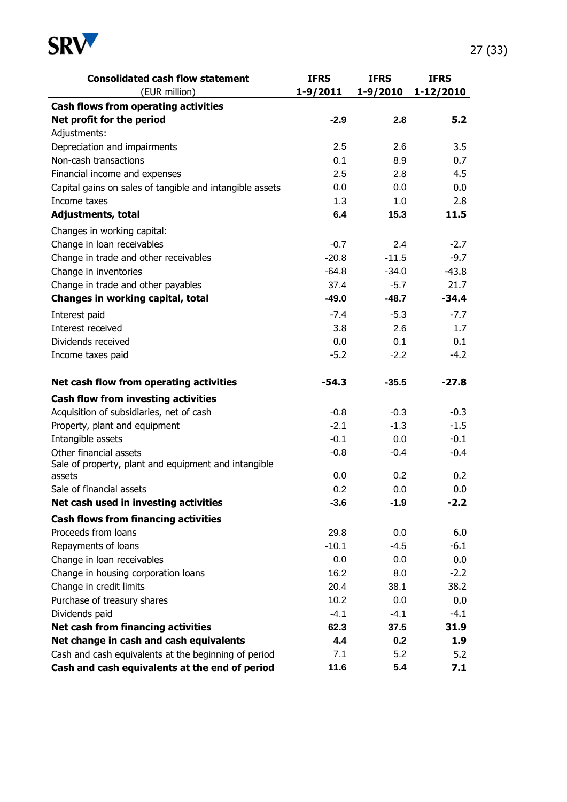

| <b>Consolidated cash flow statement</b>                  | <b>IFRS</b>  | <b>IFRS</b>  | <b>IFRS</b> |
|----------------------------------------------------------|--------------|--------------|-------------|
| (EUR million)                                            | $1 - 9/2011$ | $1 - 9/2010$ | 1-12/2010   |
| Cash flows from operating activities                     |              |              |             |
| Net profit for the period                                | $-2.9$       | 2.8          | 5.2         |
| Adjustments:                                             |              |              |             |
| Depreciation and impairments                             | 2.5          | 2.6          | 3.5         |
| Non-cash transactions                                    | 0.1          | 8.9          | 0.7         |
| Financial income and expenses                            | 2.5          | 2.8          | 4.5         |
| Capital gains on sales of tangible and intangible assets | 0.0          | 0.0          | 0.0         |
| Income taxes                                             | 1.3          | 1.0          | 2.8         |
| Adjustments, total                                       | 6.4          | 15.3         | 11.5        |
| Changes in working capital:                              |              |              |             |
| Change in loan receivables                               | $-0.7$       | 2.4          | $-2.7$      |
| Change in trade and other receivables                    | $-20.8$      | $-11.5$      | $-9.7$      |
| Change in inventories                                    | $-64.8$      | $-34.0$      | $-43.8$     |
| Change in trade and other payables                       | 37.4         | $-5.7$       | 21.7        |
| Changes in working capital, total                        | $-49.0$      | $-48.7$      | $-34.4$     |
| Interest paid                                            | $-7.4$       | $-5.3$       | $-7.7$      |
| Interest received                                        | 3.8          | 2.6          | 1.7         |
| Dividends received                                       | 0.0          | 0.1          | 0.1         |
| Income taxes paid                                        | $-5.2$       | $-2.2$       | $-4.2$      |
| Net cash flow from operating activities                  | $-54.3$      | $-35.5$      | $-27.8$     |
| Cash flow from investing activities                      |              |              |             |
| Acquisition of subsidiaries, net of cash                 | $-0.8$       | $-0.3$       | $-0.3$      |
| Property, plant and equipment                            | $-2.1$       | $-1.3$       | $-1.5$      |
| Intangible assets                                        | $-0.1$       | 0.0          | $-0.1$      |
| Other financial assets                                   | $-0.8$       | $-0.4$       | $-0.4$      |
| Sale of property, plant and equipment and intangible     |              |              |             |
| assets                                                   | 0.0          | 0.2          | 0.2         |
| Sale of financial assets                                 | 0.2          | 0.0          | 0.0         |
| Net cash used in investing activities                    | $-3.6$       | $-1.9$       | $-2.2$      |
| <b>Cash flows from financing activities</b>              |              |              |             |
| Proceeds from loans                                      | 29.8         | 0.0          | 6.0         |
| Repayments of loans                                      | $-10.1$      | $-4.5$       | $-6.1$      |
| Change in loan receivables                               | 0.0          | 0.0          | 0.0         |
| Change in housing corporation loans                      | 16.2         | 8.0          | $-2.2$      |
| Change in credit limits                                  | 20.4         | 38.1         | 38.2        |
| Purchase of treasury shares                              | 10.2         | 0.0          | 0.0         |
| Dividends paid                                           | $-4.1$       | $-4.1$       | $-4.1$      |
| Net cash from financing activities                       | 62.3         | 37.5         | 31.9        |
| Net change in cash and cash equivalents                  | 4.4          | 0.2          | 1.9         |
| Cash and cash equivalents at the beginning of period     | 7.1          | 5.2          | 5.2         |
| Cash and cash equivalents at the end of period           | 11.6         | 5.4          | 7.1         |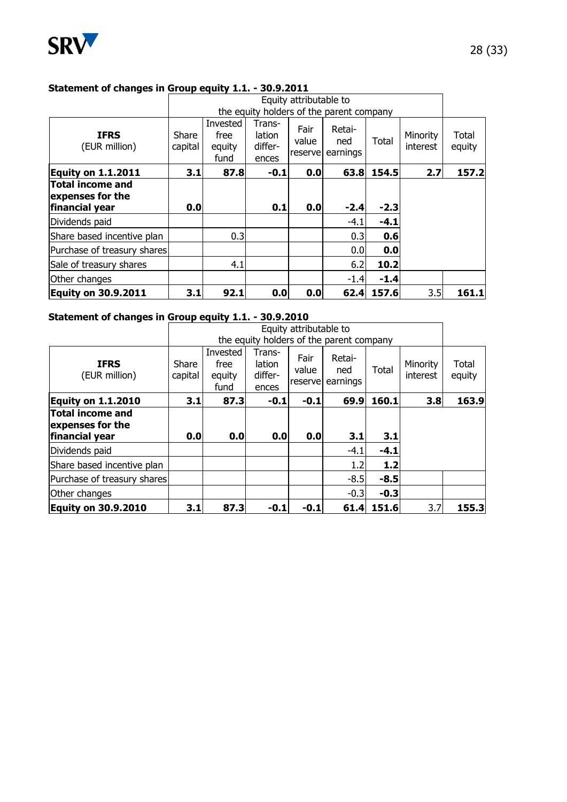

#### **Statement of changes in Group equity 1.1. - 30.9.2011**

|                                                               |                  |                                          |                                      | Equity attributable to    |                           |        |                      |                 |
|---------------------------------------------------------------|------------------|------------------------------------------|--------------------------------------|---------------------------|---------------------------|--------|----------------------|-----------------|
|                                                               |                  | the equity holders of the parent company |                                      |                           |                           |        |                      |                 |
| <b>IFRS</b><br>(EUR million)                                  | Share<br>capital | Invested<br>free<br>equity<br>fund       | Trans-<br>lation<br>differ-<br>ences | Fair<br>value<br>reservel | Retai-<br>ned<br>earnings | Total  | Minority<br>interest | Total<br>equity |
| Equity on 1.1.2011                                            | 3.1              | 87.8                                     | -0.1                                 | 0.0                       | 63.8                      | 154.5  | 2.7                  | 157.2           |
| <b>Total income and</b><br>expenses for the<br>financial year | 0.0              |                                          | 0.1                                  | 0.0                       | $-2.4$                    | $-2.3$ |                      |                 |
| Dividends paid                                                |                  |                                          |                                      |                           | $-4.1$                    | $-4.1$ |                      |                 |
| Share based incentive plan                                    |                  | 0.3                                      |                                      |                           | 0.3                       | 0.6    |                      |                 |
| Purchase of treasury shares                                   |                  |                                          |                                      |                           | 0.0                       | 0.0    |                      |                 |
| Sale of treasury shares                                       |                  | 4.1                                      |                                      |                           | 6.2                       | 10.2   |                      |                 |
| Other changes                                                 |                  |                                          |                                      |                           | $-1.4$                    | $-1.4$ |                      |                 |
| <b>Equity on 30.9.2011</b>                                    | 3.1              | 92.1                                     | 0.0                                  | 0.0                       | 62.4                      | 157.6  | 3.5                  | 161.1           |

#### **Statement of changes in Group equity 1.1. - 30.9.2010**

|                                             |                  |                                    |                                      | Equity attributable to    | the equity holders of the parent company |        |                      |                 |
|---------------------------------------------|------------------|------------------------------------|--------------------------------------|---------------------------|------------------------------------------|--------|----------------------|-----------------|
| <b>IFRS</b><br>(EUR million)                | Share<br>capital | Invested<br>free<br>equity<br>fund | Trans-<br>lation<br>differ-<br>ences | Fair<br>value<br>reservel | Retai-<br>ned<br>earnings                | Total  | Minority<br>interest | Total<br>equity |
| <b>Equity on 1.1.2010</b>                   | 3.1              | 87.3                               | $-0.1$                               | $-0.1$                    | 69.9                                     | 160.1  | 3.8                  | 163.9           |
| <b>Total income and</b><br>expenses for the |                  |                                    |                                      |                           |                                          |        |                      |                 |
| financial year                              | 0.0              | 0.0                                | 0.0                                  | 0.0                       | 3.1                                      | 3.1    |                      |                 |
| Dividends paid                              |                  |                                    |                                      |                           | $-4.1$                                   | $-4.1$ |                      |                 |
| Share based incentive plan                  |                  |                                    |                                      |                           | 1.2                                      | $1.2$  |                      |                 |
| Purchase of treasury shares                 |                  |                                    |                                      |                           | $-8.5$                                   | $-8.5$ |                      |                 |
| Other changes                               |                  |                                    |                                      |                           | $-0.3$                                   | $-0.3$ |                      |                 |
| <b>Equity on 30.9.2010</b>                  | 3.1              | 87.3                               | $-0.1$                               | $-0.1$                    | 61.4                                     | 151.6  | 3.7                  | 155.3           |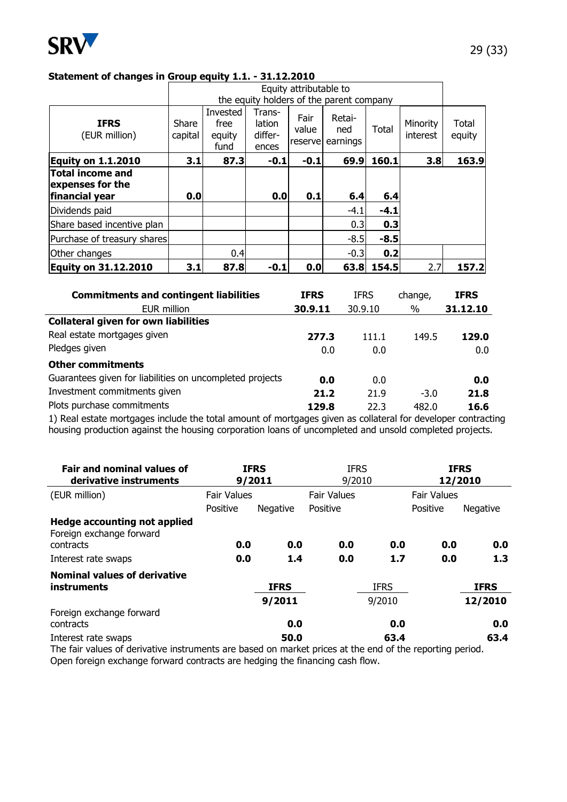

#### **Statement of changes in Group equity 1.1. - 31.12.2010**

|                                                        |                  |                                    |                                      | Equity attributable to    |                                                                       |        |                      |                 |
|--------------------------------------------------------|------------------|------------------------------------|--------------------------------------|---------------------------|-----------------------------------------------------------------------|--------|----------------------|-----------------|
| <b>IFRS</b><br>(EUR million)                           | Share<br>capital | Invested<br>free<br>equity<br>fund | Trans-<br>lation<br>differ-<br>ences | Fair<br>value<br>reservel | the equity holders of the parent company<br>Retai-<br>ned<br>earnings | Total  | Minority<br>interest | Total<br>equity |
| <b>Equity on 1.1.2010</b>                              | 3.1              | 87.3                               | $-0.1$                               | $-0.1$                    | 69.9                                                                  | 160.1  | 3.8                  | 163.9           |
| Total income and<br>expenses for the<br>financial year | 0.0              |                                    | 0.0                                  | 0.1                       | 6.4                                                                   | 6.4    |                      |                 |
| Dividends paid                                         |                  |                                    |                                      |                           | $-4.1$                                                                | $-4.1$ |                      |                 |
| Share based incentive plan                             |                  |                                    |                                      |                           | 0.3                                                                   | 0.3    |                      |                 |
| Purchase of treasury shares                            |                  |                                    |                                      |                           | $-8.5$                                                                | $-8.5$ |                      |                 |
| Other changes                                          |                  | 0.4                                |                                      |                           | $-0.3$                                                                | 0.2    |                      |                 |
| <b>Equity on 31.12.2010</b>                            | 3.1              | 87.8                               | $-0.1$                               | 0.0                       | 63.8                                                                  | 154.5  | 2.7                  | 157.2           |

| <b>Commitments and contingent liabilities</b>            | <b>IFRS</b> | <b>IFRS</b> | change, | <b>IFRS</b> |
|----------------------------------------------------------|-------------|-------------|---------|-------------|
| EUR million                                              | 30.9.11     | 30.9.10     | %       | 31.12.10    |
| <b>Collateral given for own liabilities</b>              |             |             |         |             |
| Real estate mortgages given                              | 277.3       | 111.1       | 149.5   | 129.0       |
| Pledges given                                            | 0.0         | 0.0         |         | 0.0         |
| <b>Other commitments</b>                                 |             |             |         |             |
| Guarantees given for liabilities on uncompleted projects | 0.0         | 0.0         |         | 0.0         |
| Investment commitments given                             | 21.2        | 21.9        | $-3.0$  | 21.8        |
| Plots purchase commitments                               | 129.8       | 22.3        | 482.0   | 16.6        |
|                                                          |             |             |         |             |

1) Real estate mortgages include the total amount of mortgages given as collateral for developer contracting housing production against the housing corporation loans of uncompleted and unsold completed projects.

| <b>Fair and nominal values of</b><br>derivative instruments     |                    | <b>IFRS</b><br>9/2011 | <b>IFRS</b><br>9/2010 |             | <b>IFRS</b><br>12/2010 |             |  |
|-----------------------------------------------------------------|--------------------|-----------------------|-----------------------|-------------|------------------------|-------------|--|
| (EUR million)                                                   | <b>Fair Values</b> |                       | <b>Fair Values</b>    |             | <b>Fair Values</b>     |             |  |
|                                                                 | Positive           | Negative              | Positive              |             | Positive               | Negative    |  |
| <b>Hedge accounting not applied</b><br>Foreign exchange forward |                    |                       |                       |             |                        |             |  |
| contracts                                                       | 0.0                | 0.0                   | 0.0                   | 0.0         | 0.0                    | 0.0         |  |
| Interest rate swaps                                             | 0.0                | 1.4                   | 0.0                   | 1.7         | 0.0                    | 1.3         |  |
| <b>Nominal values of derivative</b><br>instruments              |                    | <b>IFRS</b>           |                       | <b>IFRS</b> |                        | <b>IFRS</b> |  |
|                                                                 |                    | 9/2011                |                       | 9/2010      |                        | 12/2010     |  |
| Foreign exchange forward                                        |                    |                       |                       |             |                        |             |  |
| contracts                                                       |                    | 0.0                   |                       | 0.0         |                        | 0.0         |  |
| Interest rate swaps                                             |                    | 50.0                  |                       | 63.4        |                        | 63.4        |  |

The fair values of derivative instruments are based on market prices at the end of the reporting period. Open foreign exchange forward contracts are hedging the financing cash flow.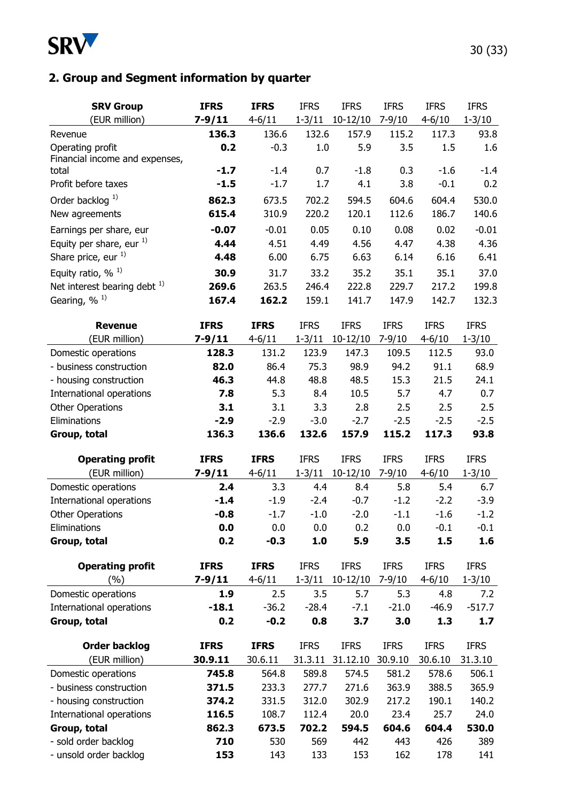

# **2. Group and Segment information by quarter**

| <b>SRV Group</b>                               | <b>IFRS</b> | <b>IFRS</b>  | <b>IFRS</b> | <b>IFRS</b> | <b>IFRS</b> | <b>IFRS</b>  | <b>IFRS</b> |
|------------------------------------------------|-------------|--------------|-------------|-------------|-------------|--------------|-------------|
| (EUR million)                                  | $7 - 9/11$  | $4 - 6/11$   | $1 - 3/11$  | $10-12/10$  | $7 - 9/10$  | $4 - 6/10$   | $1 - 3/10$  |
| Revenue                                        | 136.3       | 136.6        | 132.6       | 157.9       | 115.2       | 117.3        | 93.8        |
| Operating profit                               | 0.2         | $-0.3$       | 1.0         | 5.9         | 3.5         | 1.5          | 1.6         |
| Financial income and expenses,                 |             |              |             |             |             |              |             |
| total                                          | $-1.7$      | $-1.4$       | 0.7         | $-1.8$      | 0.3         | $-1.6$       | $-1.4$      |
| Profit before taxes                            | $-1.5$      | $-1.7$       | 1.7         | 4.1         | 3.8         | $-0.1$       | 0.2         |
| Order backlog $^{1)}$                          | 862.3       | 673.5        | 702.2       | 594.5       | 604.6       | 604.4        | 530.0       |
| New agreements                                 | 615.4       | 310.9        | 220.2       | 120.1       | 112.6       | 186.7        | 140.6       |
| Earnings per share, eur                        | $-0.07$     | $-0.01$      | 0.05        | 0.10        | 0.08        | 0.02         | $-0.01$     |
| Equity per share, eur $^{1)}$                  | 4.44        | 4.51         | 4.49        | 4.56        | 4.47        | 4.38         | 4.36        |
| Share price, eur 1)                            | 4.48        | 6.00         | 6.75        | 6.63        | 6.14        | 6.16         | 6.41        |
| Equity ratio, $\%$ <sup>1)</sup>               | 30.9        | 31.7         | 33.2        | 35.2        | 35.1        | 35.1         | 37.0        |
| Net interest bearing debt $^{1)}$              | 269.6       | 263.5        | 246.4       | 222.8       | 229.7       | 217.2        | 199.8       |
| Gearing, % <sup>1)</sup>                       | 167.4       | 162.2        | 159.1       | 141.7       | 147.9       | 142.7        | 132.3       |
|                                                |             |              |             |             |             |              |             |
| <b>Revenue</b>                                 | <b>IFRS</b> | <b>IFRS</b>  | <b>IFRS</b> | <b>IFRS</b> | <b>IFRS</b> | <b>IFRS</b>  | <b>IFRS</b> |
| (EUR million)                                  | $7 - 9/11$  | $4 - 6 / 11$ | $1 - 3/11$  | $10-12/10$  | $7 - 9/10$  | $4 - 6 / 10$ | $1 - 3/10$  |
| Domestic operations                            | 128.3       | 131.2        | 123.9       | 147.3       | 109.5       | 112.5        | 93.0        |
| - business construction                        | 82.0        | 86.4         | 75.3        | 98.9        | 94.2        | 91.1         | 68.9        |
| - housing construction                         | 46.3        | 44.8         | 48.8        | 48.5        | 15.3        | 21.5         | 24.1        |
| International operations                       | 7.8         | 5.3          | 8.4         | 10.5        | 5.7         | 4.7          | 0.7         |
| <b>Other Operations</b>                        | 3.1         | 3.1          | 3.3         | 2.8         | 2.5         | 2.5          | 2.5         |
| Eliminations                                   | $-2.9$      | $-2.9$       | $-3.0$      | $-2.7$      | $-2.5$      | $-2.5$       | $-2.5$      |
| Group, total                                   | 136.3       | 136.6        | 132.6       | 157.9       | 115.2       | 117.3        | 93.8        |
| <b>Operating profit</b>                        | <b>IFRS</b> | <b>IFRS</b>  | <b>IFRS</b> | <b>IFRS</b> | <b>IFRS</b> | <b>IFRS</b>  | <b>IFRS</b> |
| (EUR million)                                  | $7 - 9/11$  | $4 - 6/11$   | $1 - 3/11$  | $10-12/10$  | $7 - 9/10$  | $4 - 6/10$   | $1 - 3/10$  |
| Domestic operations                            | 2.4         | 3.3          | 4.4         | 8.4         | 5.8         | 5.4          | 6.7         |
| International operations                       | $-1.4$      | $-1.9$       | $-2.4$      | $-0.7$      | $-1.2$      | $-2.2$       | $-3.9$      |
| <b>Other Operations</b>                        | $-0.8$      | $-1.7$       | $-1.0$      | $-2.0$      | $-1.1$      | $-1.6$       | $-1.2$      |
| Eliminations                                   | 0.0         | 0.0          | 0.0         | 0.2         | 0.0         | $-0.1$       | $-0.1$      |
| Group, total                                   | 0.2         | $-0.3$       | 1.0         | 5.9         | 3.5         | 1.5          | 1.6         |
|                                                |             |              |             |             |             |              |             |
| <b>Operating profit</b>                        | <b>IFRS</b> | <b>IFRS</b>  | <b>IFRS</b> | <b>IFRS</b> | <b>IFRS</b> | <b>IFRS</b>  | <b>IFRS</b> |
| (%)                                            | $7 - 9/11$  | $4 - 6/11$   | $1 - 3/11$  | $10-12/10$  | $7 - 9/10$  | $4 - 6/10$   | $1 - 3/10$  |
| Domestic operations                            | 1.9         | 2.5          | 3.5         | 5.7         | 5.3         | 4.8          | 7.2         |
| International operations                       | $-18.1$     | $-36.2$      | $-28.4$     | $-7.1$      | $-21.0$     | $-46.9$      | $-517.7$    |
| Group, total                                   | 0.2         | $-0.2$       | 0.8         | 3.7         | 3.0         | 1.3          | 1.7         |
| <b>Order backlog</b>                           | <b>IFRS</b> | <b>IFRS</b>  | <b>IFRS</b> | <b>IFRS</b> | <b>IFRS</b> | <b>IFRS</b>  | <b>IFRS</b> |
| (EUR million)                                  | 30.9.11     | 30.6.11      | 31.3.11     | 31.12.10    | 30.9.10     | 30.6.10      | 31.3.10     |
| Domestic operations                            | 745.8       | 564.8        | 589.8       | 574.5       | 581.2       | 578.6        | 506.1       |
| - business construction                        | 371.5       | 233.3        | 277.7       | 271.6       | 363.9       | 388.5        | 365.9       |
| - housing construction                         | 374.2       | 331.5        | 312.0       | 302.9       | 217.2       | 190.1        | 140.2       |
| International operations                       | 116.5       | 108.7        | 112.4       | 20.0        | 23.4        | 25.7         | 24.0        |
| Group, total                                   | 862.3       | 673.5        | 702.2       | 594.5       | 604.6       | 604.4        | 530.0       |
|                                                |             |              |             |             |             |              |             |
|                                                |             |              |             |             |             |              |             |
| - sold order backlog<br>- unsold order backlog | 710<br>153  | 530<br>143   | 569<br>133  | 442<br>153  | 443<br>162  | 426<br>178   | 389<br>141  |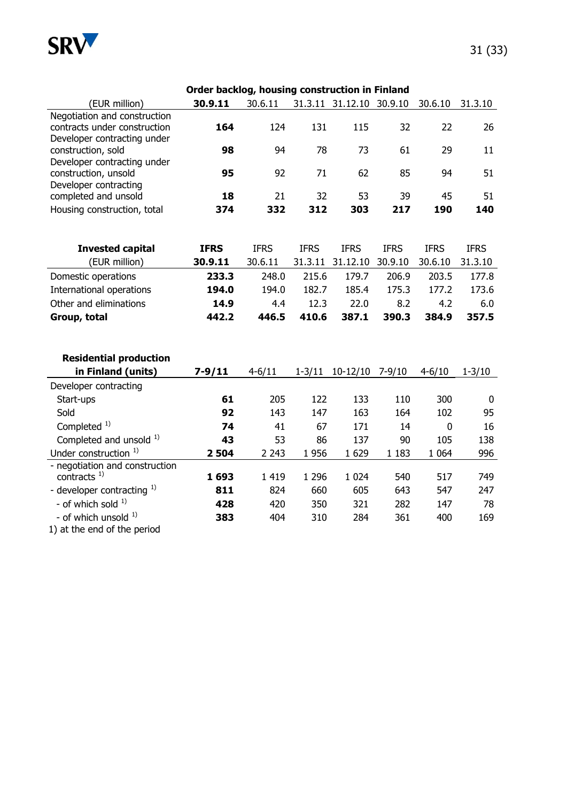

|                                                   | Order backlog, housing construction in Finland |              |             |                          |             |             |             |  |  |  |
|---------------------------------------------------|------------------------------------------------|--------------|-------------|--------------------------|-------------|-------------|-------------|--|--|--|
| (EUR million)                                     | 30.9.11                                        | 30.6.11      |             | 31.3.11 31.12.10 30.9.10 |             | 30.6.10     | 31.3.10     |  |  |  |
| Negotiation and construction                      |                                                |              |             |                          |             |             |             |  |  |  |
| contracts under construction                      | 164                                            | 124          | 131         | 115                      | 32          | 22          | 26          |  |  |  |
| Developer contracting under<br>construction, sold | 98                                             | 94           | 78          | 73                       | 61          | 29          | 11          |  |  |  |
| Developer contracting under                       |                                                |              |             |                          |             |             |             |  |  |  |
| construction, unsold                              | 95                                             | 92           | 71          | 62                       | 85          | 94          | 51          |  |  |  |
| Developer contracting                             |                                                |              |             |                          |             |             |             |  |  |  |
| completed and unsold                              | 18                                             | 21           | 32          | 53                       | 39          | 45          | 51          |  |  |  |
| Housing construction, total                       | 374                                            | 332          | 312         | 303                      | 217         | 190         | 140         |  |  |  |
|                                                   |                                                |              |             |                          |             |             |             |  |  |  |
|                                                   |                                                |              |             |                          |             |             |             |  |  |  |
| <b>Invested capital</b>                           | <b>IFRS</b>                                    | <b>IFRS</b>  | <b>IFRS</b> | <b>IFRS</b>              | <b>IFRS</b> | <b>IFRS</b> | <b>IFRS</b> |  |  |  |
| (EUR million)                                     | 30.9.11                                        | 30.6.11      | 31.3.11     | 31.12.10                 | 30.9.10     | 30.6.10     | 31.3.10     |  |  |  |
| Domestic operations                               | 233.3                                          | 248.0        | 215.6       | 179.7                    | 206.9       | 203.5       | 177.8       |  |  |  |
| International operations                          | 194.0                                          | 194.0        | 182.7       | 185.4                    | 175.3       | 177.2       | 173.6       |  |  |  |
| Other and eliminations                            | 14.9                                           | 4.4          | 12.3        | 22.0                     | 8.2         | 4.2         | 6.0         |  |  |  |
| Group, total                                      | 442.2                                          | 446.5        | 410.6       | 387.1                    | 390.3       | 384.9       | 357.5       |  |  |  |
|                                                   |                                                |              |             |                          |             |             |             |  |  |  |
|                                                   |                                                |              |             |                          |             |             |             |  |  |  |
| <b>Residential production</b>                     |                                                |              |             |                          |             |             |             |  |  |  |
| in Finland (units)                                | $7 - 9/11$                                     | $4 - 6 / 11$ | $1 - 3/11$  | 10-12/10 7-9/10          |             | $4 - 6/10$  | $1 - 3/10$  |  |  |  |
| Developer contracting                             |                                                |              |             |                          |             |             |             |  |  |  |
| Start-ups                                         | 61                                             | 205          | 122         | 133                      | 110         | 300         | 0           |  |  |  |
| Sold                                              | 92                                             | 143          | 147         | 163                      | 164         | 102         | 95          |  |  |  |
| Completed <sup>1)</sup>                           | 74                                             | 41           | 67          | 171                      | 14          | $\mathbf 0$ | 16          |  |  |  |
| Completed and unsold 1)                           | 43                                             | 53           | 86          | 137                      | 90          | 105         | 138         |  |  |  |
| Under construction <sup>1)</sup>                  | 2504                                           | 2 2 4 3      | 1956        | 1629                     | 1 1 8 3     | 1 0 6 4     | 996         |  |  |  |
| - negotiation and construction                    |                                                |              |             |                          |             |             |             |  |  |  |
| contracts $1$ )                                   | 1693                                           | 1 4 1 9      | 1 2 9 6     | 1 0 2 4                  | 540         | 517         | 749         |  |  |  |
| - developer contracting 1)                        | 811                                            | 824          | 660         | 605                      | 643         | 547         | 247         |  |  |  |
| - of which sold $1$ )                             | 428                                            | 420          | 350         | 321                      | 282         | 147         | 78          |  |  |  |
| - of which unsold $1$ )                           | 383                                            | 404          | 310         | 284                      | 361         | 400         | 169         |  |  |  |
| 1) at the end of the period                       |                                                |              |             |                          |             |             |             |  |  |  |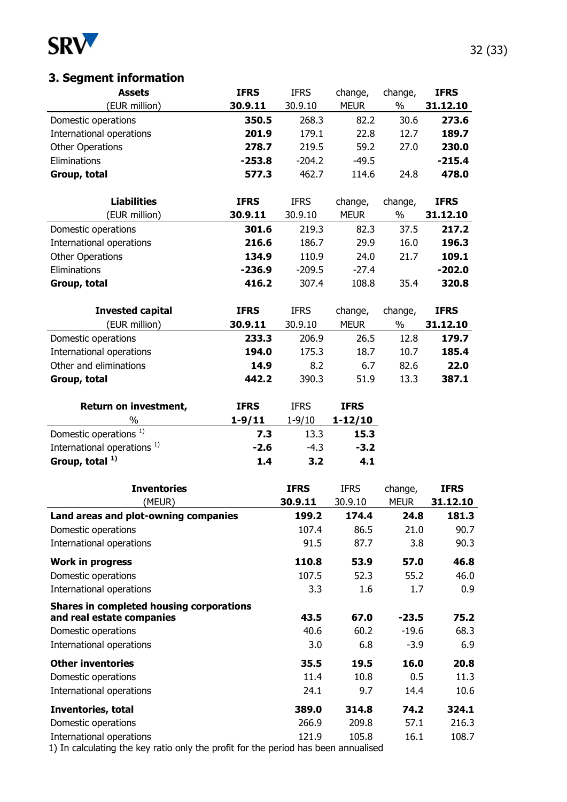

# **3. Segment information**

| (EUR million)                            | 30.9.11     | 30.9.10        | <b>MEUR</b>    | $\%$         | 31.12.10       |
|------------------------------------------|-------------|----------------|----------------|--------------|----------------|
| Domestic operations                      | 350.5       | 268.3          | 82.2           | 30.6         | 273.6          |
| International operations                 | 201.9       | 179.1          | 22.8           | 12.7         | 189.7          |
| <b>Other Operations</b>                  | 278.7       | 219.5          | 59.2           | 27.0         | 230.0          |
| Eliminations                             | $-253.8$    | $-204.2$       | $-49.5$        |              | $-215.4$       |
| Group, total                             | 577.3       | 462.7          | 114.6          | 24.8         | 478.0          |
| <b>Liabilities</b>                       | <b>IFRS</b> | <b>IFRS</b>    | change,        | change,      | <b>IFRS</b>    |
| (EUR million)                            | 30.9.11     | 30.9.10        | <b>MEUR</b>    | $\%$         | 31.12.10       |
| Domestic operations                      | 301.6       | 219.3          | 82.3           | 37.5         | 217.2          |
| International operations                 | 216.6       | 186.7          | 29.9           | 16.0         | 196.3          |
| <b>Other Operations</b>                  | 134.9       | 110.9          | 24.0           | 21.7         | 109.1          |
| Eliminations                             | $-236.9$    | $-209.5$       | $-27.4$        |              | $-202.0$       |
| Group, total                             | 416.2       | 307.4          | 108.8          | 35.4         | 320.8          |
|                                          |             |                |                |              |                |
| <b>Invested capital</b>                  | <b>IFRS</b> | <b>IFRS</b>    | change,        | change,      | <b>IFRS</b>    |
| (EUR million)                            | 30.9.11     | 30.9.10        | <b>MEUR</b>    | $\%$         | 31.12.10       |
| Domestic operations                      | 233.3       | 206.9          | 26.5           | 12.8         | 179.7          |
| International operations                 | 194.0       | 175.3          | 18.7           | 10.7         | 185.4          |
| Other and eliminations                   | 14.9        | 8.2            | 6.7            | 82.6         | 22.0           |
| Group, total                             | 442.2       | 390.3          | 51.9           | 13.3         | 387.1          |
| Return on investment,                    | <b>IFRS</b> | <b>IFRS</b>    | <b>IFRS</b>    |              |                |
| %                                        | $1 - 9/11$  | $1 - 9/10$     | $1 - 12/10$    |              |                |
| Domestic operations <sup>1)</sup>        | 7.3         | 13.3           | 15.3           |              |                |
| International operations <sup>1)</sup>   | $-2.6$      | $-4.3$         | $-3.2$         |              |                |
| Group, total $1$ )                       | 1.4         | 3.2            | 4.1            |              |                |
| <b>Inventories</b>                       |             | <b>IFRS</b>    | <b>IFRS</b>    | change,      | <b>IFRS</b>    |
| (MEUR)                                   |             | 30.9.11        | 30.9.10        | <b>MEUR</b>  | 31.12.10       |
| Land areas and plot-owning companies     |             | 199.2          | 174.4          | 24.8         | 181.3          |
| Domestic operations                      |             | 107.4          | 86.5           | 21.0         | 90.7           |
| International operations                 |             | 91.5           | 87.7           | 3.8          | 90.3           |
| <b>Work in progress</b>                  |             | 110.8          | 53.9           | 57.0         | 46.8           |
| Domestic operations                      |             | 107.5          | 52.3           | 55.2         | 46.0           |
| International operations                 |             | 3.3            | 1.6            | 1.7          | 0.9            |
| Shares in completed housing corporations |             |                |                |              |                |
| and real estate companies                |             | 43.5           | 67.0           | $-23.5$      | 75.2           |
| Domestic operations                      |             | 40.6           | 60.2           | $-19.6$      | 68.3           |
| International operations                 |             | 3.0            | 6.8            | $-3.9$       | 6.9            |
| <b>Other inventories</b>                 |             | 35.5           | 19.5           | 16.0         | 20.8           |
| Domestic operations                      |             | 11.4           | 10.8           | 0.5          | 11.3           |
| International operations                 |             | 24.1           | 9.7            | 14.4         | 10.6           |
| Inventories, total                       |             | 389.0          | 314.8          | 74.2         | 324.1          |
| Domestic operations                      |             |                |                |              |                |
| International operations                 |             | 266.9<br>121.9 | 209.8<br>105.8 | 57.1<br>16.1 | 216.3<br>108.7 |

**Assets IFRS** IFRS change, change, **IFRS**